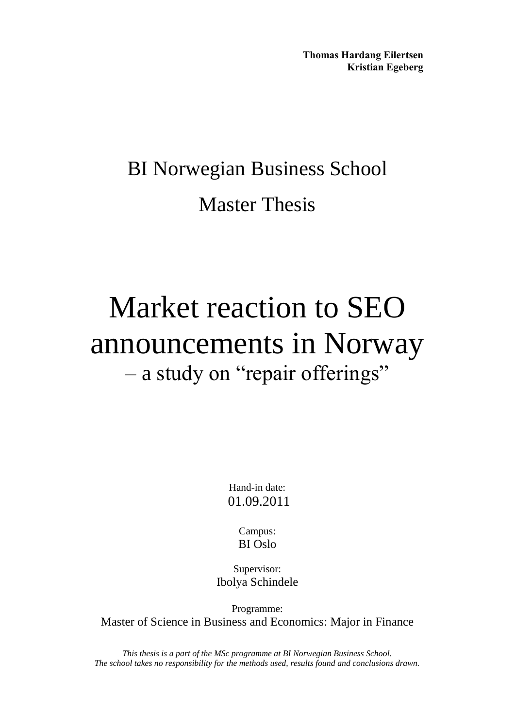**Thomas Hardang Eilertsen Kristian Egeberg** 

# BI Norwegian Business School Master Thesis

# Market reaction to SEO announcements in Norway – a study on "repair offerings"

Hand-in date: 01.09.2011

> Campus: BI Oslo

Supervisor: Ibolya Schindele

Programme: Master of Science in Business and Economics: Major in Finance

*This thesis is a part of the MSc programme at BI Norwegian Business School. The school takes no responsibility for the methods used, results found and conclusions drawn.*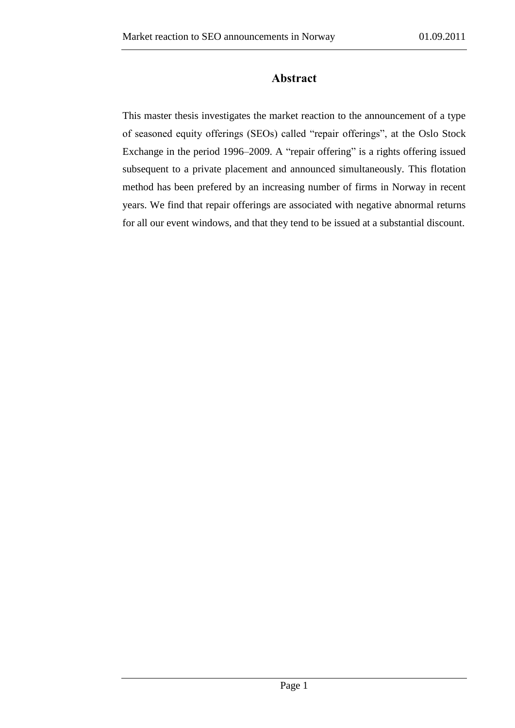## **Abstract**

<span id="page-1-0"></span>This master thesis investigates the market reaction to the announcement of a type of seasoned equity offerings (SEOs) called "repair offerings", at the Oslo Stock Exchange in the period 1996–2009. A "repair offering" is a rights offering issued subsequent to a private placement and announced simultaneously. This flotation method has been prefered by an increasing number of firms in Norway in recent years. We find that repair offerings are associated with negative abnormal returns for all our event windows, and that they tend to be issued at a substantial discount.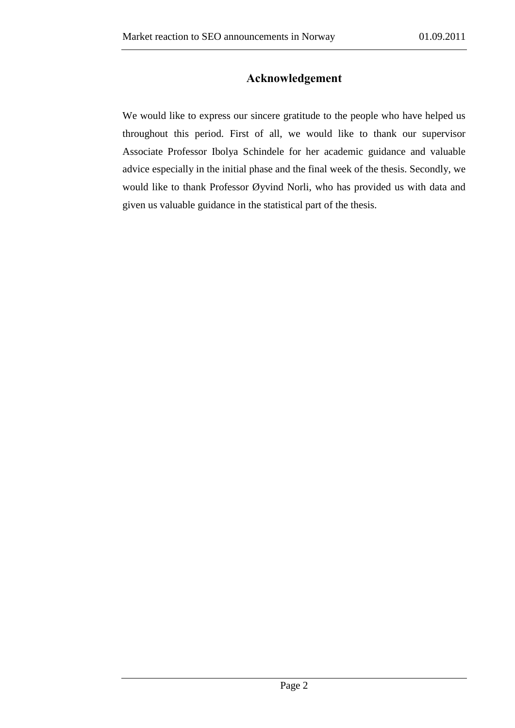## **Acknowledgement**

<span id="page-2-0"></span>We would like to express our sincere gratitude to the people who have helped us throughout this period. First of all, we would like to thank our supervisor Associate Professor Ibolya Schindele for her academic guidance and valuable advice especially in the initial phase and the final week of the thesis. Secondly, we would like to thank Professor Øyvind Norli, who has provided us with data and given us valuable guidance in the statistical part of the thesis.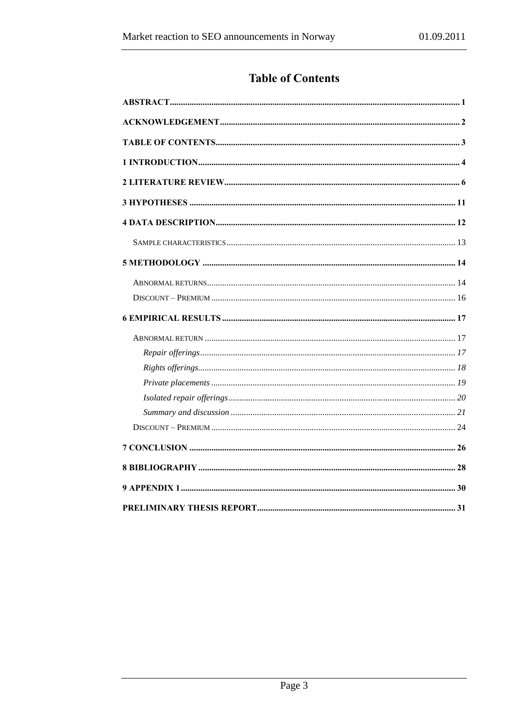# **Table of Contents**

<span id="page-3-0"></span>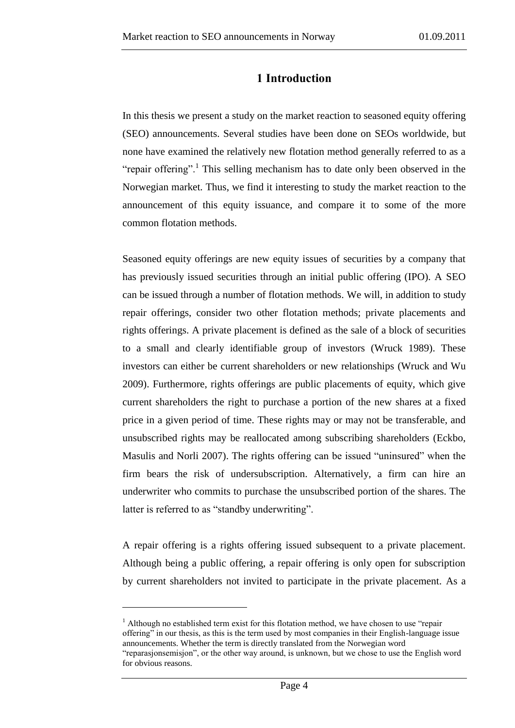### **1 Introduction**

<span id="page-4-0"></span>In this thesis we present a study on the market reaction to seasoned equity offering (SEO) announcements. Several studies have been done on SEOs worldwide, but none have examined the relatively new flotation method generally referred to as a "repair offering".<sup>1</sup> This selling mechanism has to date only been observed in the Norwegian market. Thus, we find it interesting to study the market reaction to the announcement of this equity issuance, and compare it to some of the more common flotation methods.

Seasoned equity offerings are new equity issues of securities by a company that has previously issued securities through an initial public offering (IPO). A SEO can be issued through a number of flotation methods. We will, in addition to study repair offerings, consider two other flotation methods; private placements and rights offerings. A private placement is defined as the sale of a block of securities to a small and clearly identifiable group of investors (Wruck 1989). These investors can either be current shareholders or new relationships (Wruck and Wu 2009). Furthermore, rights offerings are public placements of equity, which give current shareholders the right to purchase a portion of the new shares at a fixed price in a given period of time. These rights may or may not be transferable, and unsubscribed rights may be reallocated among subscribing shareholders (Eckbo, Masulis and Norli 2007). The rights offering can be issued "uninsured" when the firm bears the risk of undersubscription. Alternatively, a firm can hire an underwriter who commits to purchase the unsubscribed portion of the shares. The latter is referred to as "standby underwriting".

A repair offering is a rights offering issued subsequent to a private placement. Although being a public offering, a repair offering is only open for subscription by current shareholders not invited to participate in the private placement. As a

<u>.</u>

<sup>&</sup>lt;sup>1</sup> Although no established term exist for this flotation method, we have chosen to use "repair" offering" in our thesis, as this is the term used by most companies in their English-language issue announcements. Whether the term is directly translated from the Norwegian word "reparasjonsemisjon", or the other way around, is unknown, but we chose to use the English word for obvious reasons.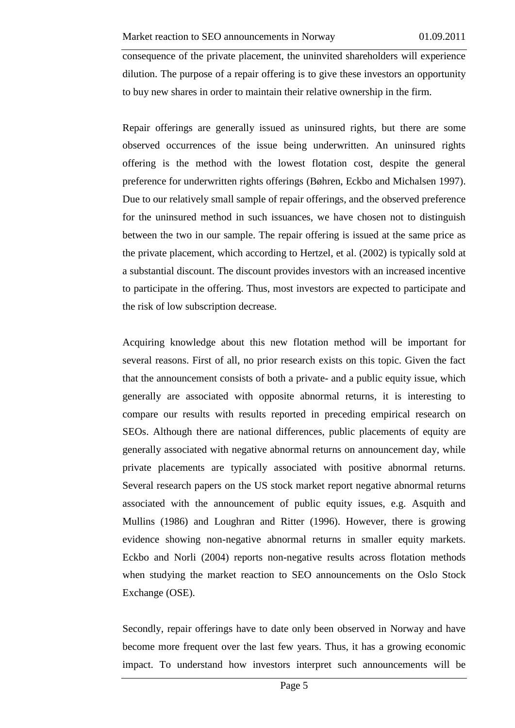consequence of the private placement, the uninvited shareholders will experience dilution. The purpose of a repair offering is to give these investors an opportunity to buy new shares in order to maintain their relative ownership in the firm.

Repair offerings are generally issued as uninsured rights, but there are some observed occurrences of the issue being underwritten. An uninsured rights offering is the method with the lowest flotation cost, despite the general preference for underwritten rights offerings (Bøhren, Eckbo and Michalsen 1997). Due to our relatively small sample of repair offerings, and the observed preference for the uninsured method in such issuances, we have chosen not to distinguish between the two in our sample. The repair offering is issued at the same price as the private placement, which according to Hertzel, et al. (2002) is typically sold at a substantial discount. The discount provides investors with an increased incentive to participate in the offering. Thus, most investors are expected to participate and the risk of low subscription decrease.

Acquiring knowledge about this new flotation method will be important for several reasons. First of all, no prior research exists on this topic. Given the fact that the announcement consists of both a private- and a public equity issue, which generally are associated with opposite abnormal returns, it is interesting to compare our results with results reported in preceding empirical research on SEOs. Although there are national differences, public placements of equity are generally associated with negative abnormal returns on announcement day, while private placements are typically associated with positive abnormal returns. Several research papers on the US stock market report negative abnormal returns associated with the announcement of public equity issues, e.g. Asquith and Mullins (1986) and Loughran and Ritter (1996). However, there is growing evidence showing non-negative abnormal returns in smaller equity markets. Eckbo and Norli (2004) reports non-negative results across flotation methods when studying the market reaction to SEO announcements on the Oslo Stock Exchange (OSE).

Secondly, repair offerings have to date only been observed in Norway and have become more frequent over the last few years. Thus, it has a growing economic impact. To understand how investors interpret such announcements will be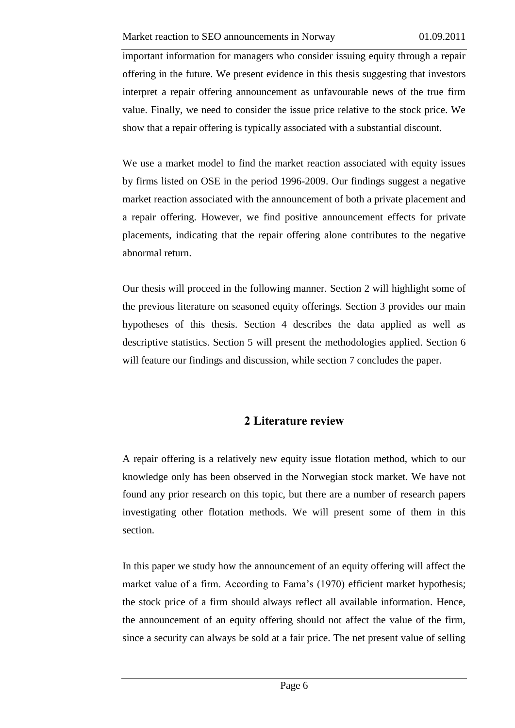important information for managers who consider issuing equity through a repair offering in the future. We present evidence in this thesis suggesting that investors interpret a repair offering announcement as unfavourable news of the true firm value. Finally, we need to consider the issue price relative to the stock price. We show that a repair offering is typically associated with a substantial discount.

We use a market model to find the market reaction associated with equity issues by firms listed on OSE in the period 1996-2009. Our findings suggest a negative market reaction associated with the announcement of both a private placement and a repair offering. However, we find positive announcement effects for private placements, indicating that the repair offering alone contributes to the negative abnormal return.

Our thesis will proceed in the following manner. Section 2 will highlight some of the previous literature on seasoned equity offerings. Section 3 provides our main hypotheses of this thesis. Section 4 describes the data applied as well as descriptive statistics. Section 5 will present the methodologies applied. Section 6 will feature our findings and discussion, while section 7 concludes the paper.

# **2 Literature review**

<span id="page-6-0"></span>A repair offering is a relatively new equity issue flotation method, which to our knowledge only has been observed in the Norwegian stock market. We have not found any prior research on this topic, but there are a number of research papers investigating other flotation methods. We will present some of them in this section.

In this paper we study how the announcement of an equity offering will affect the market value of a firm. According to Fama's (1970) efficient market hypothesis; the stock price of a firm should always reflect all available information. Hence, the announcement of an equity offering should not affect the value of the firm, since a security can always be sold at a fair price. The net present value of selling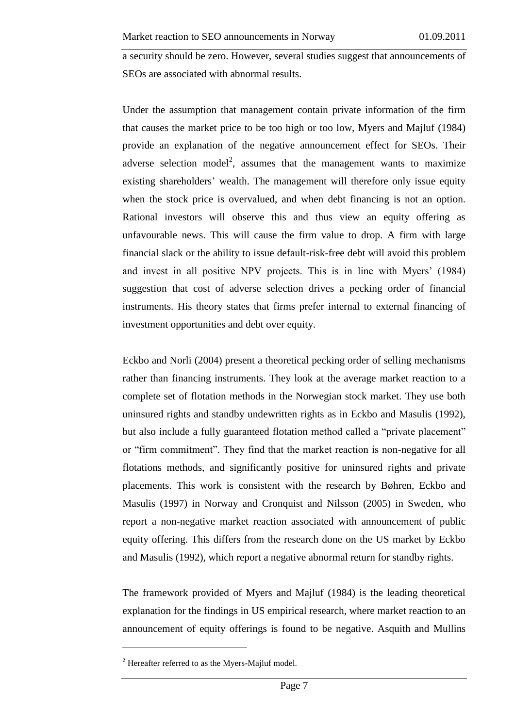a security should be zero. However, several studies suggest that announcements of SEOs are associated with abnormal results.

Under the assumption that management contain private information of the firm that causes the market price to be too high or too low, Myers and Majluf (1984) provide an explanation of the negative announcement effect for SEOs. Their adverse selection model<sup>2</sup>, assumes that the management wants to maximize existing shareholders' wealth. The management will therefore only issue equity when the stock price is overvalued, and when debt financing is not an option. Rational investors will observe this and thus view an equity offering as unfavourable news. This will cause the firm value to drop. A firm with large financial slack or the ability to issue default-risk-free debt will avoid this problem and invest in all positive NPV projects. This is in line with Myers' (1984) suggestion that cost of adverse selection drives a pecking order of financial instruments. His theory states that firms prefer internal to external financing of investment opportunities and debt over equity.

Eckbo and Norli (2004) present a theoretical pecking order of selling mechanisms rather than financing instruments. They look at the average market reaction to a complete set of flotation methods in the Norwegian stock market. They use both uninsured rights and standby undewritten rights as in Eckbo and Masulis (1992), but also include a fully guaranteed flotation method called a "private placement" or "firm commitment". They find that the market reaction is non-negative for all flotations methods, and significantly positive for uninsured rights and private placements. This work is consistent with the research by Bøhren, Eckbo and Masulis (1997) in Norway and Cronquist and Nilsson (2005) in Sweden, who report a non-negative market reaction associated with announcement of public equity offering. This differs from the research done on the US market by Eckbo and Masulis (1992), which report a negative abnormal return for standby rights.

The framework provided of Myers and Majluf (1984) is the leading theoretical explanation for the findings in US empirical research, where market reaction to an announcement of equity offerings is found to be negative. Asquith and Mullins

1

 $2$  Hereafter referred to as the Myers-Majluf model.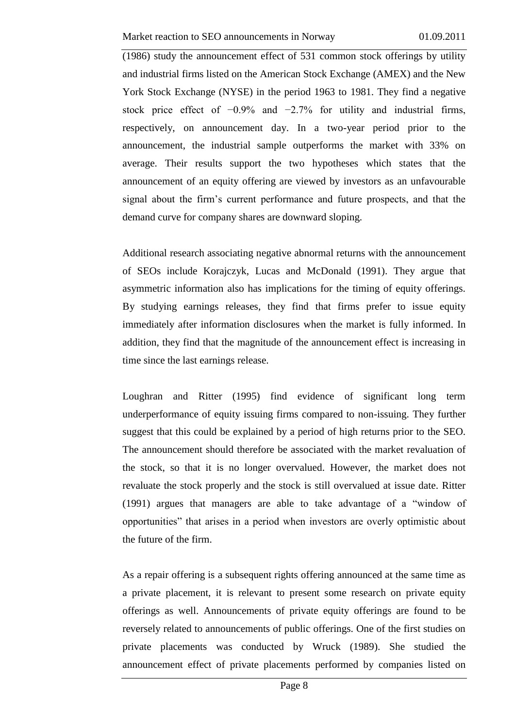(1986) study the announcement effect of 531 common stock offerings by utility and industrial firms listed on the American Stock Exchange (AMEX) and the New York Stock Exchange (NYSE) in the period 1963 to 1981. They find a negative stock price effect of −0.9% and −2.7% for utility and industrial firms, respectively, on announcement day. In a two-year period prior to the announcement, the industrial sample outperforms the market with 33% on average. Their results support the two hypotheses which states that the announcement of an equity offering are viewed by investors as an unfavourable signal about the firm's current performance and future prospects, and that the demand curve for company shares are downward sloping.

Additional research associating negative abnormal returns with the announcement of SEOs include Korajczyk, Lucas and McDonald (1991). They argue that asymmetric information also has implications for the timing of equity offerings. By studying earnings releases, they find that firms prefer to issue equity immediately after information disclosures when the market is fully informed. In addition, they find that the magnitude of the announcement effect is increasing in time since the last earnings release.

Loughran and Ritter (1995) find evidence of significant long term underperformance of equity issuing firms compared to non-issuing. They further suggest that this could be explained by a period of high returns prior to the SEO. The announcement should therefore be associated with the market revaluation of the stock, so that it is no longer overvalued. However, the market does not revaluate the stock properly and the stock is still overvalued at issue date. Ritter (1991) argues that managers are able to take advantage of a "window of opportunities" that arises in a period when investors are overly optimistic about the future of the firm.

As a repair offering is a subsequent rights offering announced at the same time as a private placement, it is relevant to present some research on private equity offerings as well. Announcements of private equity offerings are found to be reversely related to announcements of public offerings. One of the first studies on private placements was conducted by Wruck (1989). She studied the announcement effect of private placements performed by companies listed on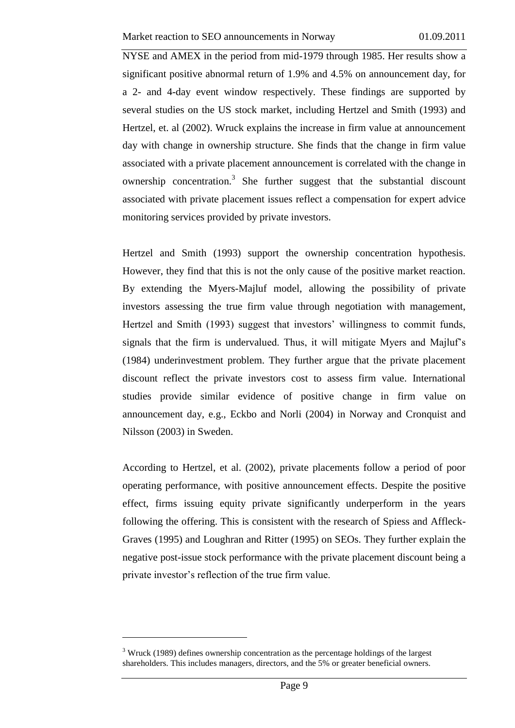NYSE and AMEX in the period from mid-1979 through 1985. Her results show a significant positive abnormal return of 1.9% and 4.5% on announcement day, for a 2- and 4-day event window respectively. These findings are supported by several studies on the US stock market, including Hertzel and Smith (1993) and Hertzel, et. al (2002). Wruck explains the increase in firm value at announcement day with change in ownership structure. She finds that the change in firm value associated with a private placement announcement is correlated with the change in ownership concentration.<sup>3</sup> She further suggest that the substantial discount associated with private placement issues reflect a compensation for expert advice monitoring services provided by private investors.

Hertzel and Smith (1993) support the ownership concentration hypothesis. However, they find that this is not the only cause of the positive market reaction. By extending the Myers-Majluf model, allowing the possibility of private investors assessing the true firm value through negotiation with management, Hertzel and Smith (1993) suggest that investors' willingness to commit funds, signals that the firm is undervalued. Thus, it will mitigate Myers and Majluf's (1984) underinvestment problem. They further argue that the private placement discount reflect the private investors cost to assess firm value. International studies provide similar evidence of positive change in firm value on announcement day, e.g., Eckbo and Norli (2004) in Norway and Cronquist and Nilsson (2003) in Sweden.

According to Hertzel, et al. (2002), private placements follow a period of poor operating performance, with positive announcement effects. Despite the positive effect, firms issuing equity private significantly underperform in the years following the offering. This is consistent with the research of Spiess and Affleck-Graves (1995) and Loughran and Ritter (1995) on SEOs. They further explain the negative post-issue stock performance with the private placement discount being a private investor's reflection of the true firm value.

<u>.</u>

 $3$  Wruck (1989) defines ownership concentration as the percentage holdings of the largest shareholders. This includes managers, directors, and the 5% or greater beneficial owners.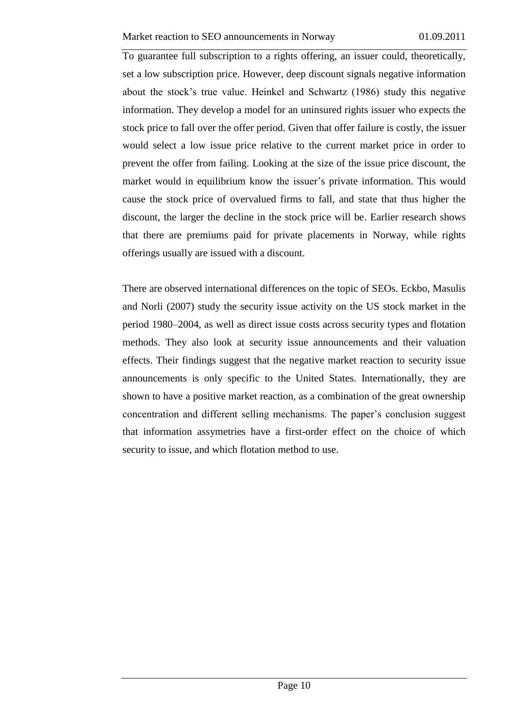To guarantee full subscription to a rights offering, an issuer could, theoretically, set a low subscription price. However, deep discount signals negative information about the stock's true value. Heinkel and Schwartz (1986) study this negative information. They develop a model for an uninsured rights issuer who expects the stock price to fall over the offer period. Given that offer failure is costly, the issuer would select a low issue price relative to the current market price in order to prevent the offer from failing. Looking at the size of the issue price discount, the market would in equilibrium know the issuer's private information. This would cause the stock price of overvalued firms to fall, and state that thus higher the discount, the larger the decline in the stock price will be. Earlier research shows that there are premiums paid for private placements in Norway, while rights offerings usually are issued with a discount.

There are observed international differences on the topic of SEOs. Eckbo, Masulis and Norli (2007) study the security issue activity on the US stock market in the period 1980–2004, as well as direct issue costs across security types and flotation methods. They also look at security issue announcements and their valuation effects. Their findings suggest that the negative market reaction to security issue announcements is only specific to the United States. Internationally, they are shown to have a positive market reaction, as a combination of the great ownership concentration and different selling mechanisms. The paper's conclusion suggest that information assymetries have a first-order effect on the choice of which security to issue, and which flotation method to use.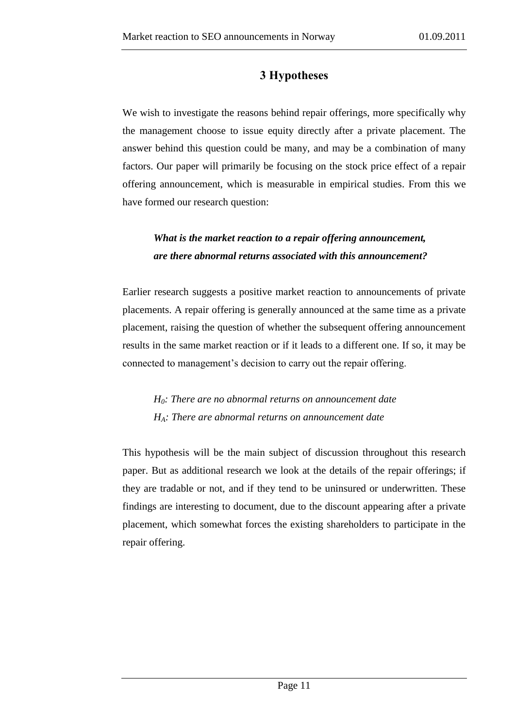# **3 Hypotheses**

<span id="page-11-0"></span>We wish to investigate the reasons behind repair offerings, more specifically why the management choose to issue equity directly after a private placement. The answer behind this question could be many, and may be a combination of many factors. Our paper will primarily be focusing on the stock price effect of a repair offering announcement, which is measurable in empirical studies. From this we have formed our research question:

# *What is the market reaction to a repair offering announcement, are there abnormal returns associated with this announcement?*

Earlier research suggests a positive market reaction to announcements of private placements. A repair offering is generally announced at the same time as a private placement, raising the question of whether the subsequent offering announcement results in the same market reaction or if it leads to a different one. If so, it may be connected to management's decision to carry out the repair offering.

*H0: There are no abnormal returns on announcement date HA: There are abnormal returns on announcement date* 

This hypothesis will be the main subject of discussion throughout this research paper. But as additional research we look at the details of the repair offerings; if they are tradable or not, and if they tend to be uninsured or underwritten. These findings are interesting to document, due to the discount appearing after a private placement, which somewhat forces the existing shareholders to participate in the repair offering.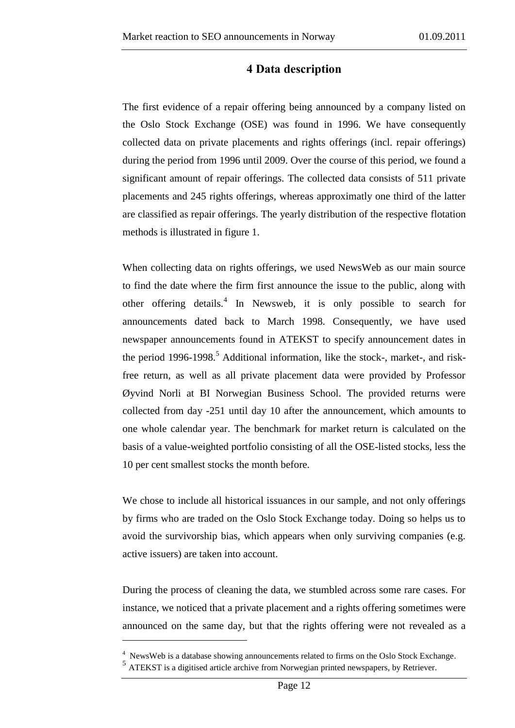### **4 Data description**

<span id="page-12-0"></span>The first evidence of a repair offering being announced by a company listed on the Oslo Stock Exchange (OSE) was found in 1996. We have consequently collected data on private placements and rights offerings (incl. repair offerings) during the period from 1996 until 2009. Over the course of this period, we found a significant amount of repair offerings. The collected data consists of 511 private placements and 245 rights offerings, whereas approximatly one third of the latter are classified as repair offerings. The yearly distribution of the respective flotation methods is illustrated in figure 1.

When collecting data on rights offerings, we used NewsWeb as our main source to find the date where the firm first announce the issue to the public, along with other offering details.<sup>4</sup> In Newsweb, it is only possible to search for announcements dated back to March 1998. Consequently, we have used newspaper announcements found in ATEKST to specify announcement dates in the period 1996-1998.<sup>5</sup> Additional information, like the stock-, market-, and riskfree return, as well as all private placement data were provided by Professor Øyvind Norli at BI Norwegian Business School. The provided returns were collected from day -251 until day 10 after the announcement, which amounts to one whole calendar year. The benchmark for market return is calculated on the basis of a value-weighted portfolio consisting of all the OSE-listed stocks, less the 10 per cent smallest stocks the month before.

We chose to include all historical issuances in our sample, and not only offerings by firms who are traded on the Oslo Stock Exchange today. Doing so helps us to avoid the survivorship bias, which appears when only surviving companies (e.g. active issuers) are taken into account.

During the process of cleaning the data, we stumbled across some rare cases. For instance, we noticed that a private placement and a rights offering sometimes were announced on the same day, but that the rights offering were not revealed as a

<u>.</u>

<sup>&</sup>lt;sup>4</sup> NewsWeb is a database showing announcements related to firms on the Oslo Stock Exchange.

<sup>&</sup>lt;sup>5</sup> ATEKST is a digitised article archive from Norwegian printed newspapers, by Retriever.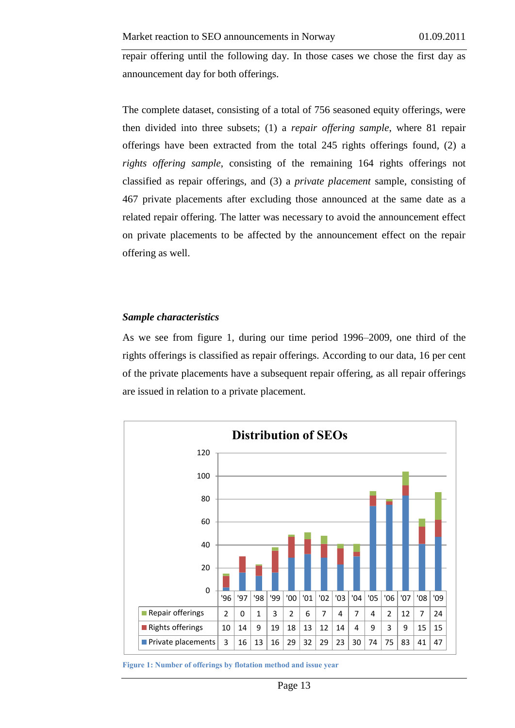repair offering until the following day. In those cases we chose the first day as announcement day for both offerings.

The complete dataset, consisting of a total of 756 seasoned equity offerings, were then divided into three subsets; (1) a *repair offering sample*, where 81 repair offerings have been extracted from the total 245 rights offerings found, (2) a *rights offering sample*, consisting of the remaining 164 rights offerings not classified as repair offerings, and (3) a *private placement* sample, consisting of 467 private placements after excluding those announced at the same date as a related repair offering. The latter was necessary to avoid the announcement effect on private placements to be affected by the announcement effect on the repair offering as well.

#### <span id="page-13-0"></span>*Sample characteristics*

As we see from figure 1, during our time period 1996–2009, one third of the rights offerings is classified as repair offerings. According to our data, 16 per cent of the private placements have a subsequent repair offering, as all repair offerings are issued in relation to a private placement.



**Figure 1: Number of offerings by flotation method and issue year**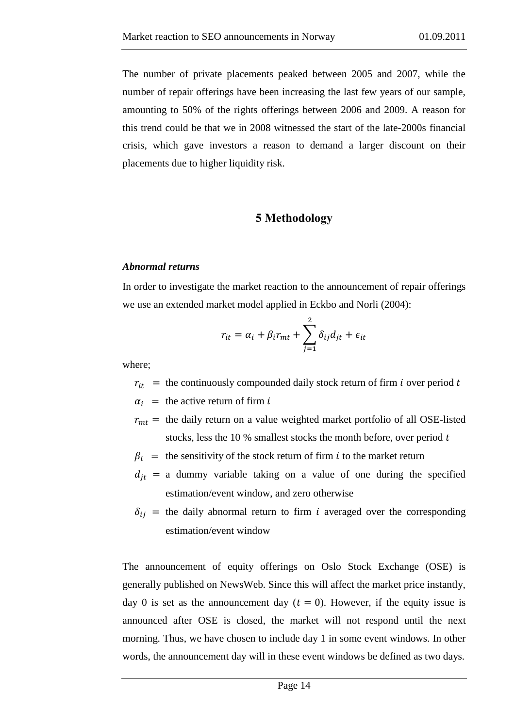The number of private placements peaked between 2005 and 2007, while the number of repair offerings have been increasing the last few years of our sample, amounting to 50% of the rights offerings between 2006 and 2009. A reason for this trend could be that we in 2008 witnessed the start of the late-2000s financial crisis, which gave investors a reason to demand a larger discount on their placements due to higher liquidity risk.

#### **5 Methodology**

#### <span id="page-14-1"></span><span id="page-14-0"></span>*Abnormal returns*

In order to investigate the market reaction to the announcement of repair offerings we use an extended market model applied in Eckbo and Norli (2004):

$$
r_{it} = \alpha_i + \beta_i r_{mt} + \sum_{j=1}^{2} \delta_{ij} d_{jt} + \epsilon_{it}
$$

where;

 $r_{it}$  = the continuously compounded daily stock return of firm i over period t

 $\alpha_i$  = the active return of firm

 $r_{mt}$  = the daily return on a value weighted market portfolio of all OSE-listed stocks, less the 10  $%$  smallest stocks the month before, over period  $t$ 

 $\beta_i$  = the sensitivity of the stock return of firm i to the market return

- $d_{it}$  = a dummy variable taking on a value of one during the specified estimation/event window, and zero otherwise
- $\delta_{ij}$  = the daily abnormal return to firm i averaged over the corresponding estimation/event window

The announcement of equity offerings on Oslo Stock Exchange (OSE) is generally published on NewsWeb. Since this will affect the market price instantly, day 0 is set as the announcement day  $(t = 0)$ . However, if the equity issue is announced after OSE is closed, the market will not respond until the next morning. Thus, we have chosen to include day 1 in some event windows. In other words, the announcement day will in these event windows be defined as two days.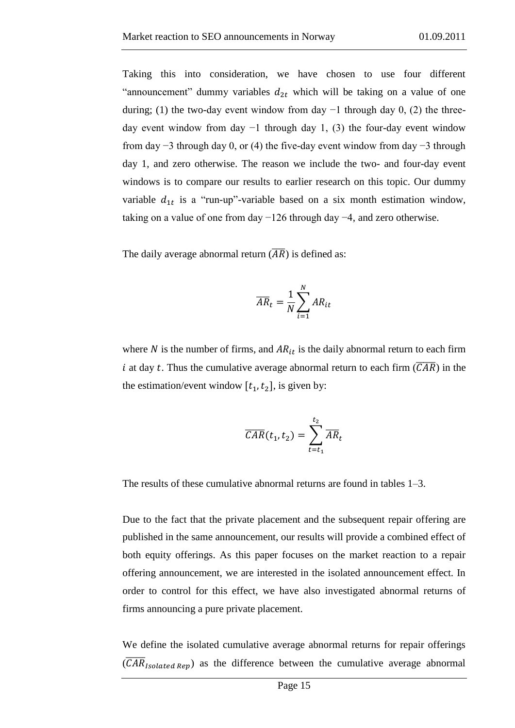Taking this into consideration, we have chosen to use four different "announcement" dummy variables  $d_{2t}$  which will be taking on a value of one during; (1) the two-day event window from day  $-1$  through day 0, (2) the threeday event window from day  $-1$  through day 1, (3) the four-day event window from day −3 through day 0, or (4) the five-day event window from day −3 through day 1, and zero otherwise. The reason we include the two- and four-day event windows is to compare our results to earlier research on this topic. Our dummy variable  $d_{1t}$  is a "run-up"-variable based on a six month estimation window, taking on a value of one from day −126 through day −4, and zero otherwise.

The daily average abnormal return  $(\overline{AR})$  is defined as:

$$
\overline{AR}_t = \frac{1}{N} \sum_{i=1}^{N} AR_{it}
$$

where N is the number of firms, and  $AR_{it}$  is the daily abnormal return to each firm i at day t. Thus the cumulative average abnormal return to each firm  $(\overline{CAR})$  in the the estimation/event window  $[t_1, t_2]$ , is given by:

$$
\overline{CAR}(t_1, t_2) = \sum_{t=t_1}^{t_2} \overline{AR}_t
$$

The results of these cumulative abnormal returns are found in tables 1–3.

Due to the fact that the private placement and the subsequent repair offering are published in the same announcement, our results will provide a combined effect of both equity offerings. As this paper focuses on the market reaction to a repair offering announcement, we are interested in the isolated announcement effect. In order to control for this effect, we have also investigated abnormal returns of firms announcing a pure private placement.

We define the isolated cumulative average abnormal returns for repair offerings  $(\overline{CAR}_{Isolated\ Rep})$  as the difference between the cumulative average abnormal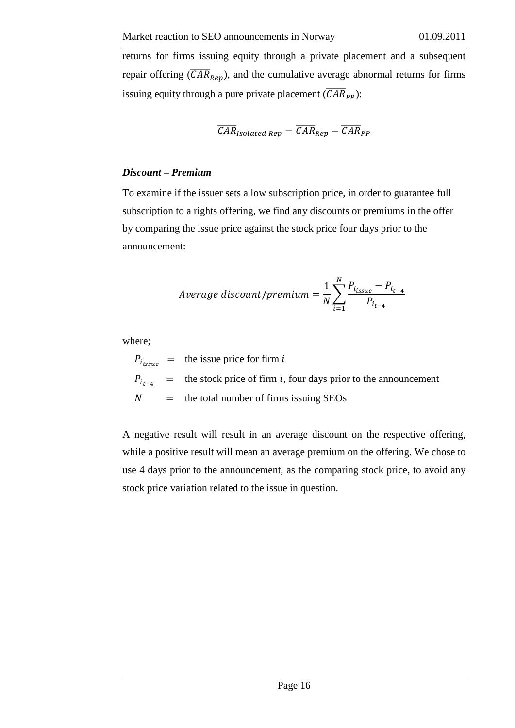returns for firms issuing equity through a private placement and a subsequent repair offering  $(CAR_{Rep})$ , and the cumulative average abnormal returns for firms issuing equity through a pure private placement  $(\overline{CAR}_{PP})$ :

$$
\overline{CAR}_{Isolated\ Rep} = \overline{CAR}_{Rep} - \overline{CAR}_{PP}
$$

#### <span id="page-16-0"></span>*Discount – Premium*

To examine if the issuer sets a low subscription price, in order to guarantee full subscription to a rights offering, we find any discounts or premiums in the offer by comparing the issue price against the stock price four days prior to the announcement:

$$
Average discount/premium = \frac{1}{N} \sum_{i=1}^{N} \frac{P_{i_{issue}} - P_{i_{t-4}}}{P_{i_{t-4}}}
$$

where;

 $P_{i_{escape}}$  = the issue price for firm i  $P_{t_{t-4}}$  = the stock price of firm *i*, four days prior to the announcement  $N =$  the total number of firms issuing SEOs

A negative result will result in an average discount on the respective offering, while a positive result will mean an average premium on the offering. We chose to use 4 days prior to the announcement, as the comparing stock price, to avoid any stock price variation related to the issue in question.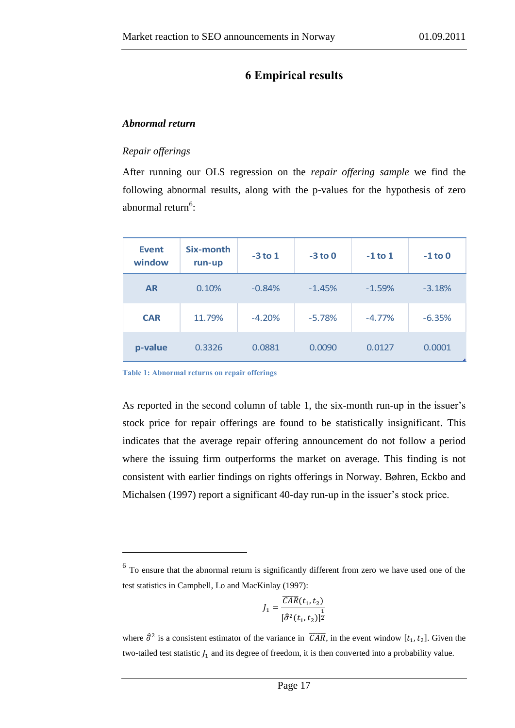# **6 Empirical results**

#### <span id="page-17-1"></span><span id="page-17-0"></span>*Abnormal return*

#### <span id="page-17-2"></span>*Repair offerings*

After running our OLS regression on the *repair offering sample* we find the following abnormal results, along with the p-values for the hypothesis of zero abnormal return<sup>6</sup>:

| <b>Event</b><br>window | Six-month<br>run-up | $-3$ to 1 | $-3$ to 0 | $-1$ to 1 | $-1$ to 0 |
|------------------------|---------------------|-----------|-----------|-----------|-----------|
| <b>AR</b>              | 0.10%               | $-0.84%$  | $-1.45%$  | $-1.59%$  | $-3.18%$  |
| <b>CAR</b>             | 11.79%              | $-4.20%$  | $-5.78%$  | $-4.77%$  | $-6.35%$  |
| p-value                | 0.3326              | 0.0881    | 0.0090    | 0.0127    | 0.0001    |

**Table 1: Abnormal returns on repair offerings**

<u>.</u>

As reported in the second column of table 1, the six-month run-up in the issuer's stock price for repair offerings are found to be statistically insignificant. This indicates that the average repair offering announcement do not follow a period where the issuing firm outperforms the market on average. This finding is not consistent with earlier findings on rights offerings in Norway. Bøhren, Eckbo and Michalsen (1997) report a significant 40-day run-up in the issuer's stock price.

$$
J_1 = \frac{\overline{CAR}(t_1, t_2)}{[\hat{\sigma}^2(t_1, t_2)]^{\frac{1}{2}}}
$$

<sup>&</sup>lt;sup>6</sup> To ensure that the abnormal return is significantly different from zero we have used one of the test statistics in Campbell, Lo and MacKinlay (1997):

where  $\hat{\sigma}^2$  is a consistent estimator of the variance in  $\overline{CAR}$ , in the event window  $[t_1, t_2]$ . Given the two-tailed test statistic  $J_1$  and its degree of freedom, it is then converted into a probability value.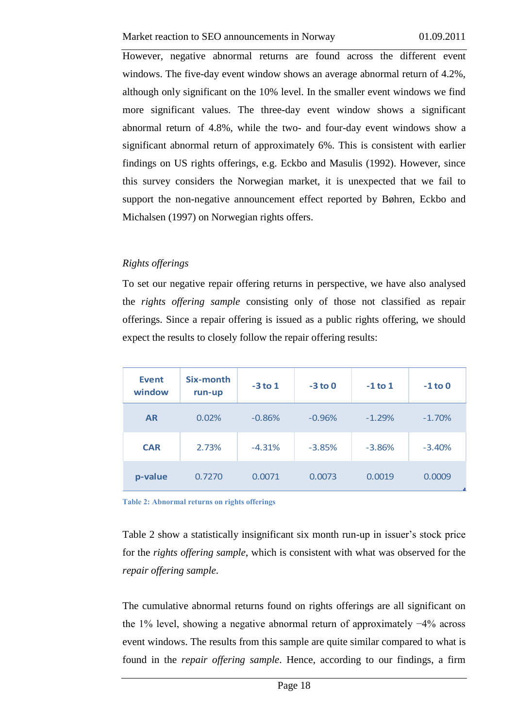However, negative abnormal returns are found across the different event windows. The five-day event window shows an average abnormal return of 4.2%, although only significant on the 10% level. In the smaller event windows we find more significant values. The three-day event window shows a significant abnormal return of 4.8%, while the two- and four-day event windows show a significant abnormal return of approximately 6%. This is consistent with earlier findings on US rights offerings, e.g. Eckbo and Masulis (1992). However, since this survey considers the Norwegian market, it is unexpected that we fail to support the non-negative announcement effect reported by Bøhren, Eckbo and Michalsen (1997) on Norwegian rights offers.

#### <span id="page-18-0"></span>*Rights offerings*

To set our negative repair offering returns in perspective, we have also analysed the *rights offering sample* consisting only of those not classified as repair offerings. Since a repair offering is issued as a public rights offering, we should expect the results to closely follow the repair offering results:

| <b>Event</b><br>window | Six-month<br>run-up | $-3$ to 1 | $-3$ to 0 | $-1$ to 1 | $-1$ to 0 |
|------------------------|---------------------|-----------|-----------|-----------|-----------|
| <b>AR</b>              | 0.02%               | $-0.86%$  | $-0.96%$  | $-1.29%$  | $-1.70%$  |
| <b>CAR</b>             | 2.73%               | $-4.31%$  | $-3.85%$  | $-3.86%$  | $-3.40%$  |
| p-value                | 0.7270              | 0.0071    | 0.0073    | 0.0019    | 0.0009    |

**Table 2: Abnormal returns on rights offerings**

Table 2 show a statistically insignificant six month run-up in issuer's stock price for the *rights offering sample*, which is consistent with what was observed for the *repair offering sample*.

The cumulative abnormal returns found on rights offerings are all significant on the 1% level, showing a negative abnormal return of approximately −4% across event windows. The results from this sample are quite similar compared to what is found in the *repair offering sample*. Hence, according to our findings, a firm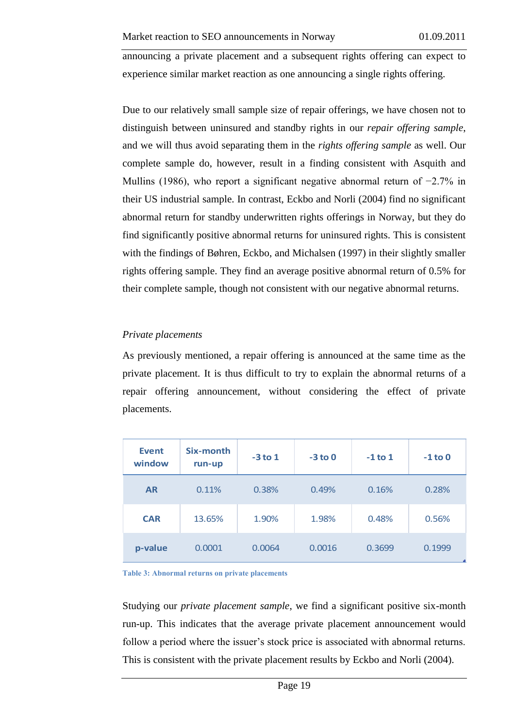announcing a private placement and a subsequent rights offering can expect to experience similar market reaction as one announcing a single rights offering.

Due to our relatively small sample size of repair offerings, we have chosen not to distinguish between uninsured and standby rights in our *repair offering sample*, and we will thus avoid separating them in the *rights offering sample* as well. Our complete sample do, however, result in a finding consistent with Asquith and Mullins (1986), who report a significant negative abnormal return of −2.7% in their US industrial sample. In contrast, Eckbo and Norli (2004) find no significant abnormal return for standby underwritten rights offerings in Norway, but they do find significantly positive abnormal returns for uninsured rights. This is consistent with the findings of Bøhren, Eckbo, and Michalsen (1997) in their slightly smaller rights offering sample. They find an average positive abnormal return of 0.5% for their complete sample, though not consistent with our negative abnormal returns.

#### <span id="page-19-0"></span>*Private placements*

As previously mentioned, a repair offering is announced at the same time as the private placement. It is thus difficult to try to explain the abnormal returns of a repair offering announcement, without considering the effect of private placements.

| <b>Event</b><br>window | Six-month<br>run-up | $-3$ to 1 | $-3$ to 0 | $-1$ to 1 | $-1$ to 0 |
|------------------------|---------------------|-----------|-----------|-----------|-----------|
| <b>AR</b>              | 0.11%               | 0.38%     | 0.49%     | 0.16%     | 0.28%     |
| <b>CAR</b>             | 13.65%              | 1.90%     | 1.98%     | 0.48%     | 0.56%     |
| p-value                | 0.0001              | 0.0064    | 0.0016    | 0.3699    | 0.1999    |

**Table 3: Abnormal returns on private placements** 

Studying our *private placement sample*, we find a significant positive six-month run-up. This indicates that the average private placement announcement would follow a period where the issuer's stock price is associated with abnormal returns. This is consistent with the private placement results by Eckbo and Norli (2004).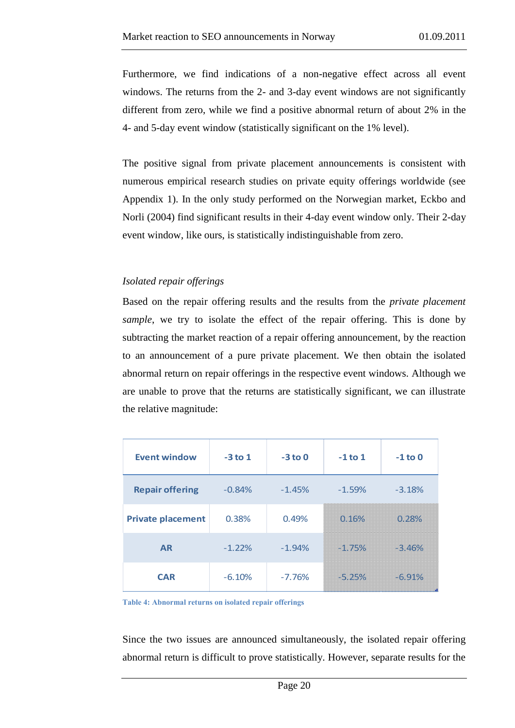Furthermore, we find indications of a non-negative effect across all event windows. The returns from the 2- and 3-day event windows are not significantly different from zero, while we find a positive abnormal return of about 2% in the 4- and 5-day event window (statistically significant on the 1% level).

The positive signal from private placement announcements is consistent with numerous empirical research studies on private equity offerings worldwide (see Appendix 1). In the only study performed on the Norwegian market, Eckbo and Norli (2004) find significant results in their 4-day event window only. Their 2-day event window, like ours, is statistically indistinguishable from zero.

#### <span id="page-20-0"></span>*Isolated repair offerings*

Based on the repair offering results and the results from the *private placement sample*, we try to isolate the effect of the repair offering. This is done by subtracting the market reaction of a repair offering announcement, by the reaction to an announcement of a pure private placement. We then obtain the isolated abnormal return on repair offerings in the respective event windows. Although we are unable to prove that the returns are statistically significant, we can illustrate the relative magnitude:

| <b>Event window</b>      | $-3$ to 1 | $-3$ to 0 | $-1$ to $1$   | $-1$ to 0        |
|--------------------------|-----------|-----------|---------------|------------------|
| <b>Repair offering</b>   | $-0.84%$  | $-1.45%$  | $-1.59%$      | $-3.18%$         |
| <b>Private placement</b> | 0.38%     | 0.49%     | <u>omaczn</u> |                  |
| <b>AR</b>                | $-1.22%$  | $-1.94%$  |               | ana ang pag-araw |
| <b>CAR</b>               | $-6.10%$  | $-7.76%$  |               | an an an Alban   |

**Table 4: Abnormal returns on isolated repair offerings** 

Since the two issues are announced simultaneously, the isolated repair offering abnormal return is difficult to prove statistically. However, separate results for the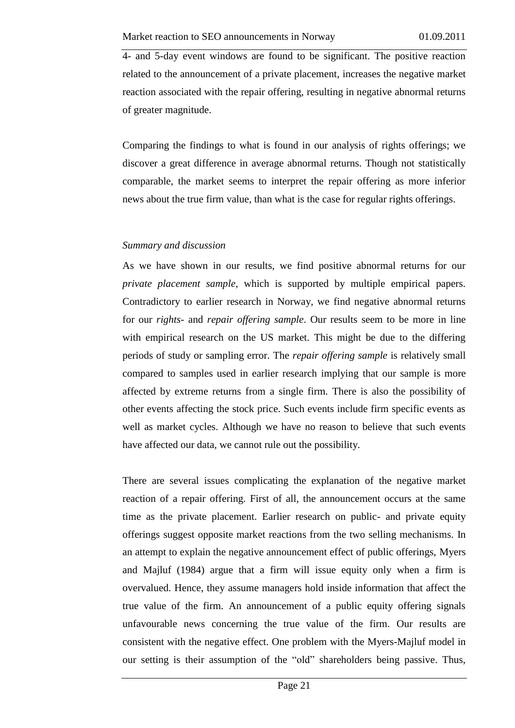4- and 5-day event windows are found to be significant. The positive reaction related to the announcement of a private placement, increases the negative market reaction associated with the repair offering, resulting in negative abnormal returns of greater magnitude.

Comparing the findings to what is found in our analysis of rights offerings; we discover a great difference in average abnormal returns. Though not statistically comparable, the market seems to interpret the repair offering as more inferior news about the true firm value, than what is the case for regular rights offerings.

#### <span id="page-21-0"></span>*Summary and discussion*

As we have shown in our results, we find positive abnormal returns for our *private placement sample*, which is supported by multiple empirical papers. Contradictory to earlier research in Norway, we find negative abnormal returns for our *rights-* and *repair offering sample*. Our results seem to be more in line with empirical research on the US market. This might be due to the differing periods of study or sampling error. The *repair offering sample* is relatively small compared to samples used in earlier research implying that our sample is more affected by extreme returns from a single firm. There is also the possibility of other events affecting the stock price. Such events include firm specific events as well as market cycles. Although we have no reason to believe that such events have affected our data, we cannot rule out the possibility.

There are several issues complicating the explanation of the negative market reaction of a repair offering. First of all, the announcement occurs at the same time as the private placement. Earlier research on public- and private equity offerings suggest opposite market reactions from the two selling mechanisms. In an attempt to explain the negative announcement effect of public offerings, Myers and Majluf (1984) argue that a firm will issue equity only when a firm is overvalued. Hence, they assume managers hold inside information that affect the true value of the firm. An announcement of a public equity offering signals unfavourable news concerning the true value of the firm. Our results are consistent with the negative effect. One problem with the Myers-Majluf model in our setting is their assumption of the "old" shareholders being passive. Thus,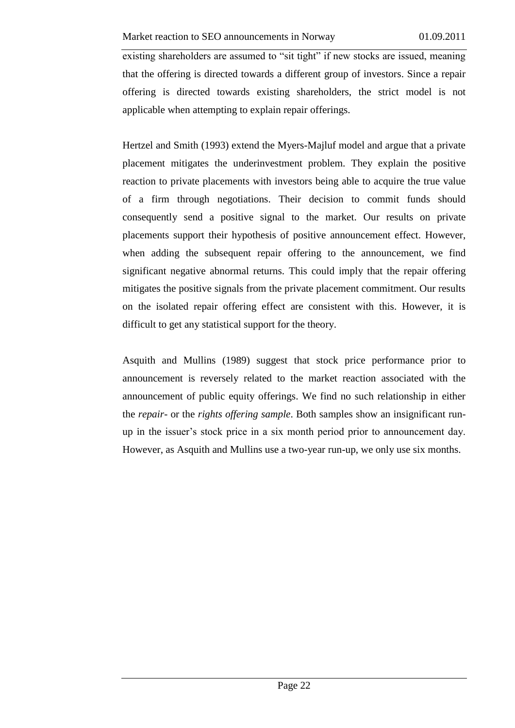existing shareholders are assumed to "sit tight" if new stocks are issued, meaning that the offering is directed towards a different group of investors. Since a repair offering is directed towards existing shareholders, the strict model is not applicable when attempting to explain repair offerings.

Hertzel and Smith (1993) extend the Myers-Majluf model and argue that a private placement mitigates the underinvestment problem. They explain the positive reaction to private placements with investors being able to acquire the true value of a firm through negotiations. Their decision to commit funds should consequently send a positive signal to the market. Our results on private placements support their hypothesis of positive announcement effect. However, when adding the subsequent repair offering to the announcement, we find significant negative abnormal returns. This could imply that the repair offering mitigates the positive signals from the private placement commitment. Our results on the isolated repair offering effect are consistent with this. However, it is difficult to get any statistical support for the theory.

Asquith and Mullins (1989) suggest that stock price performance prior to announcement is reversely related to the market reaction associated with the announcement of public equity offerings. We find no such relationship in either the *repair*- or the *rights offering sample*. Both samples show an insignificant runup in the issuer's stock price in a six month period prior to announcement day. However, as Asquith and Mullins use a two-year run-up, we only use six months.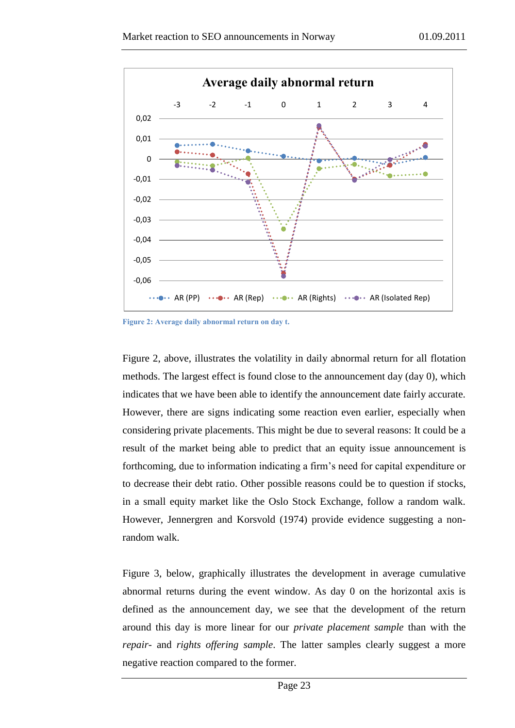

**Figure 2: Average daily abnormal return on day t.**

Figure 2, above, illustrates the volatility in daily abnormal return for all flotation methods. The largest effect is found close to the announcement day (day 0), which indicates that we have been able to identify the announcement date fairly accurate. However, there are signs indicating some reaction even earlier, especially when considering private placements. This might be due to several reasons: It could be a result of the market being able to predict that an equity issue announcement is forthcoming, due to information indicating a firm's need for capital expenditure or to decrease their debt ratio. Other possible reasons could be to question if stocks, in a small equity market like the Oslo Stock Exchange, follow a random walk. However, Jennergren and Korsvold (1974) provide evidence suggesting a nonrandom walk.

Figure 3, below, graphically illustrates the development in average cumulative abnormal returns during the event window. As day 0 on the horizontal axis is defined as the announcement day, we see that the development of the return around this day is more linear for our *private placement sample* than with the *repair-* and *rights offering sample*. The latter samples clearly suggest a more negative reaction compared to the former.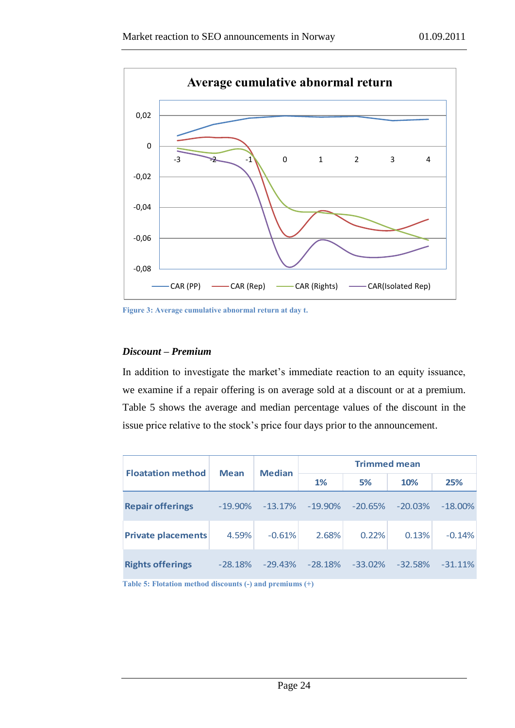

**Figure 3: Average cumulative abnormal return at day t.**

#### <span id="page-24-0"></span>*Discount – Premium*

In addition to investigate the market's immediate reaction to an equity issuance, we examine if a repair offering is on average sold at a discount or at a premium. Table 5 shows the average and median percentage values of the discount in the issue price relative to the stock's price four days prior to the announcement.

|                           |             |               |                     | <b>Trimmed mean</b> |            |            |
|---------------------------|-------------|---------------|---------------------|---------------------|------------|------------|
| <b>Floatation method</b>  | <b>Mean</b> | <b>Median</b> | 1%                  | 5%                  | 10%        | 25%        |
| <b>Repair offerings</b>   | $-19.90\%$  |               | $-13.17\% -19.90\%$ | $-20.65\%$          | $-20.03\%$ | $-18.00\%$ |
| <b>Private placements</b> | 4.59%       | $-0.61%$      | 2.68%               | 0.22%               | 0.13%      | $-0.14%$   |
| <b>Rights offerings</b>   | $-28.18%$   | $-29.43%$     | $-28.18\%$          | $-33.02\%$          | $-32.58%$  | $-31.11\%$ |

**Table 5: Flotation method discounts (-) and premiums (+)**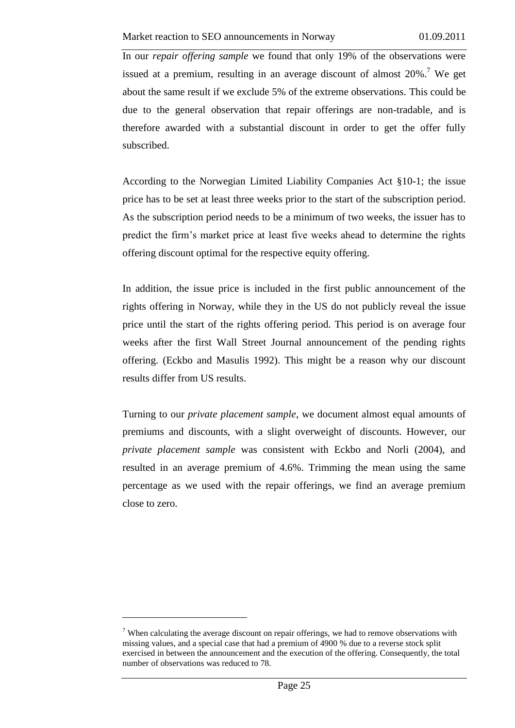In our *repair offering sample* we found that only 19% of the observations were issued at a premium, resulting in an average discount of almost  $20\%$ .<sup>7</sup> We get about the same result if we exclude 5% of the extreme observations. This could be due to the general observation that repair offerings are non-tradable, and is therefore awarded with a substantial discount in order to get the offer fully subscribed.

According to the Norwegian Limited Liability Companies Act §10-1; the issue price has to be set at least three weeks prior to the start of the subscription period. As the subscription period needs to be a minimum of two weeks, the issuer has to predict the firm's market price at least five weeks ahead to determine the rights offering discount optimal for the respective equity offering.

In addition, the issue price is included in the first public announcement of the rights offering in Norway, while they in the US do not publicly reveal the issue price until the start of the rights offering period. This period is on average four weeks after the first Wall Street Journal announcement of the pending rights offering. (Eckbo and Masulis 1992). This might be a reason why our discount results differ from US results.

Turning to our *private placement sample*, we document almost equal amounts of premiums and discounts, with a slight overweight of discounts. However, our *private placement sample* was consistent with Eckbo and Norli (2004), and resulted in an average premium of 4.6%. Trimming the mean using the same percentage as we used with the repair offerings, we find an average premium close to zero.

<u>.</u>

 $<sup>7</sup>$  When calculating the average discount on repair offerings, we had to remove observations with</sup> missing values, and a special case that had a premium of 4900 % due to a reverse stock split exercised in between the announcement and the execution of the offering. Consequently, the total number of observations was reduced to 78.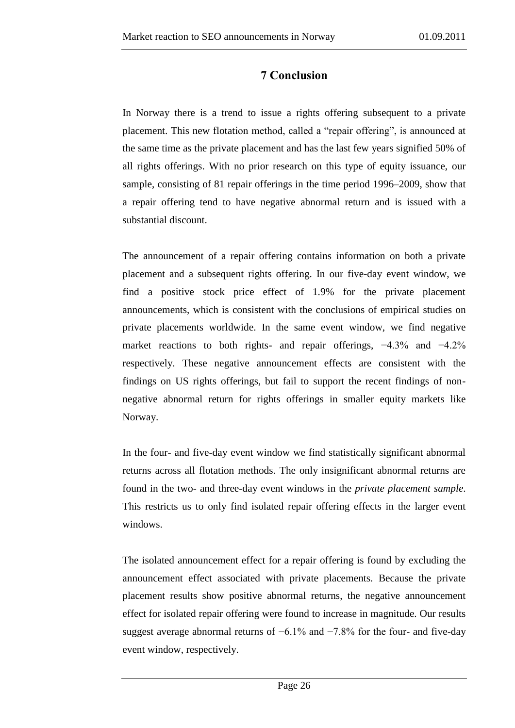# **7 Conclusion**

<span id="page-26-0"></span>In Norway there is a trend to issue a rights offering subsequent to a private placement. This new flotation method, called a "repair offering", is announced at the same time as the private placement and has the last few years signified 50% of all rights offerings. With no prior research on this type of equity issuance, our sample, consisting of 81 repair offerings in the time period 1996–2009, show that a repair offering tend to have negative abnormal return and is issued with a substantial discount.

The announcement of a repair offering contains information on both a private placement and a subsequent rights offering. In our five-day event window, we find a positive stock price effect of 1.9% for the private placement announcements, which is consistent with the conclusions of empirical studies on private placements worldwide. In the same event window, we find negative market reactions to both rights- and repair offerings, −4.3% and −4.2% respectively. These negative announcement effects are consistent with the findings on US rights offerings, but fail to support the recent findings of nonnegative abnormal return for rights offerings in smaller equity markets like Norway.

In the four- and five-day event window we find statistically significant abnormal returns across all flotation methods. The only insignificant abnormal returns are found in the two- and three-day event windows in the *private placement sample*. This restricts us to only find isolated repair offering effects in the larger event windows.

The isolated announcement effect for a repair offering is found by excluding the announcement effect associated with private placements. Because the private placement results show positive abnormal returns, the negative announcement effect for isolated repair offering were found to increase in magnitude. Our results suggest average abnormal returns of −6.1% and −7.8% for the four- and five-day event window, respectively.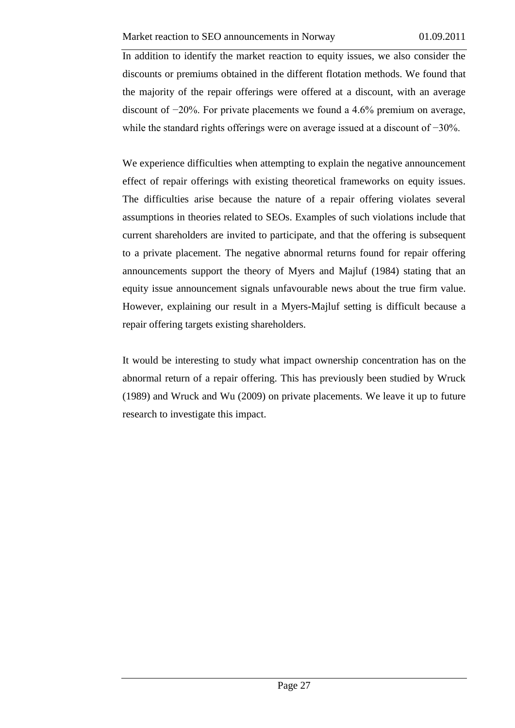In addition to identify the market reaction to equity issues, we also consider the discounts or premiums obtained in the different flotation methods. We found that the majority of the repair offerings were offered at a discount, with an average discount of −20%. For private placements we found a 4.6% premium on average, while the standard rights offerings were on average issued at a discount of −30%.

We experience difficulties when attempting to explain the negative announcement effect of repair offerings with existing theoretical frameworks on equity issues. The difficulties arise because the nature of a repair offering violates several assumptions in theories related to SEOs. Examples of such violations include that current shareholders are invited to participate, and that the offering is subsequent to a private placement. The negative abnormal returns found for repair offering announcements support the theory of Myers and Majluf (1984) stating that an equity issue announcement signals unfavourable news about the true firm value. However, explaining our result in a Myers-Majluf setting is difficult because a repair offering targets existing shareholders.

It would be interesting to study what impact ownership concentration has on the abnormal return of a repair offering. This has previously been studied by Wruck (1989) and Wruck and Wu (2009) on private placements. We leave it up to future research to investigate this impact.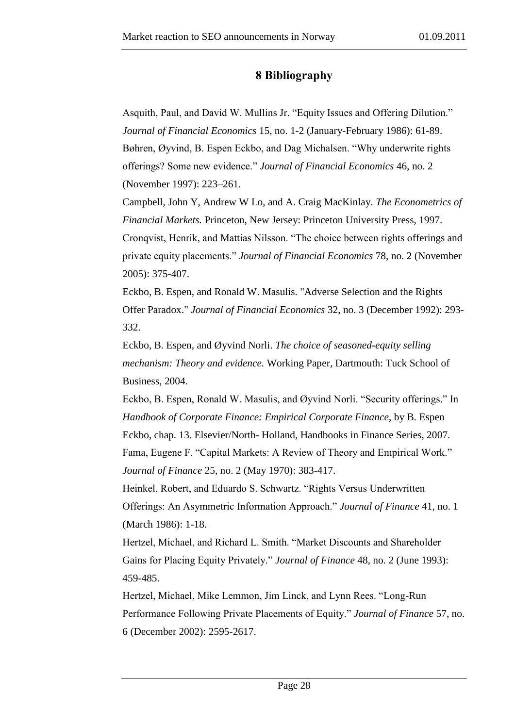## **8 Bibliography**

<span id="page-28-0"></span>Asquith, Paul, and David W. Mullins Jr. "Equity Issues and Offering Dilution." *Journal of Financial Economics* 15, no. 1-2 (January-February 1986): 61-89. Bøhren, Øyvind, B. Espen Eckbo, and Dag Michalsen. "Why underwrite rights offerings? Some new evidence." *Journal of Financial Economics* 46, no. 2 (November 1997): 223–261.

Campbell, John Y, Andrew W Lo, and A. Craig MacKinlay. *The Econometrics of Financial Markets.* Princeton, New Jersey: Princeton University Press, 1997.

Cronqvist, Henrik, and Mattias Nilsson. "The choice between rights offerings and private equity placements." *Journal of Financial Economics* 78, no. 2 (November 2005): 375-407.

Eckbo, B. Espen, and Ronald W. Masulis. "Adverse Selection and the Rights Offer Paradox." *Journal of Financial Economics* 32, no. 3 (December 1992): 293- 332.

Eckbo, B. Espen, and Øyvind Norli. *The choice of seasoned-equity selling mechanism: Theory and evidence.* Working Paper, Dartmouth: Tuck School of Business, 2004.

Eckbo, B. Espen, Ronald W. Masulis, and Øyvind Norli. "Security offerings." In *Handbook of Corporate Finance: Empirical Corporate Finance*, by B. Espen Eckbo, chap. 13. Elsevier/North- Holland, Handbooks in Finance Series, 2007. Fama, Eugene F. "Capital Markets: A Review of Theory and Empirical Work." *Journal of Finance* 25, no. 2 (May 1970): 383-417.

Heinkel, Robert, and Eduardo S. Schwartz. "Rights Versus Underwritten Offerings: An Asymmetric Information Approach." *Journal of Finance* 41, no. 1 (March 1986): 1-18.

Hertzel, Michael, and Richard L. Smith. "Market Discounts and Shareholder Gains for Placing Equity Privately." *Journal of Finance* 48, no. 2 (June 1993): 459-485.

Hertzel, Michael, Mike Lemmon, Jim Linck, and Lynn Rees. "Long-Run Performance Following Private Placements of Equity." *Journal of Finance* 57, no. 6 (December 2002): 2595-2617.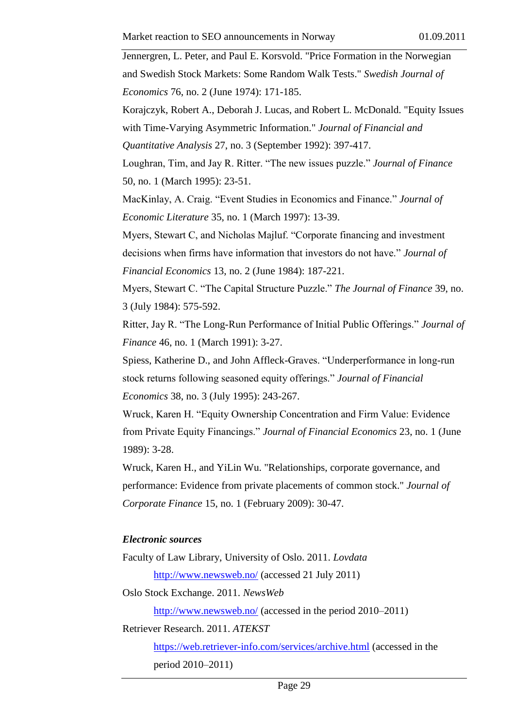Jennergren, L. Peter, and Paul E. Korsvold. "Price Formation in the Norwegian and Swedish Stock Markets: Some Random Walk Tests." *Swedish Journal of Economics* 76, no. 2 (June 1974): 171-185.

Korajczyk, Robert A., Deborah J. Lucas, and Robert L. McDonald. "Equity Issues with Time-Varying Asymmetric Information." *Journal of Financial and* 

*Quantitative Analysis* 27, no. 3 (September 1992): 397-417.

Loughran, Tim, and Jay R. Ritter. "The new issues puzzle." *Journal of Finance* 50, no. 1 (March 1995): 23-51.

MacKinlay, A. Craig. "Event Studies in Economics and Finance." *Journal of Economic Literature* 35, no. 1 (March 1997): 13-39.

Myers, Stewart C, and Nicholas Majluf. "Corporate financing and investment decisions when firms have information that investors do not have." *Journal of Financial Economics* 13, no. 2 (June 1984): 187-221.

Myers, Stewart C. "The Capital Structure Puzzle." *The Journal of Finance* 39, no. 3 (July 1984): 575-592.

Ritter, Jay R. "The Long-Run Performance of Initial Public Offerings." *Journal of Finance* 46, no. 1 (March 1991): 3-27.

Spiess, Katherine D., and John Affleck-Graves. "Underperformance in long-run stock returns following seasoned equity offerings." *Journal of Financial Economics* 38, no. 3 (July 1995): 243-267.

Wruck, Karen H. "Equity Ownership Concentration and Firm Value: Evidence from Private Equity Financings." *Journal of Financial Economics* 23, no. 1 (June 1989): 3-28.

Wruck, Karen H., and YiLin Wu. "Relationships, corporate governance, and performance: Evidence from private placements of common stock." *Journal of Corporate Finance* 15, no. 1 (February 2009): 30-47.

#### *Electronic sources*

Faculty of Law Library, University of Oslo. 2011. *Lovdata*

<http://www.newsweb.no/> (accessed 21 July 2011)

Oslo Stock Exchange. 2011. *NewsWeb*

<http://www.newsweb.no/> (accessed in the period 2010–2011)

Retriever Research. 2011. *ATEKST*

<https://web.retriever-info.com/services/archive.html> (accessed in the period 2010–2011)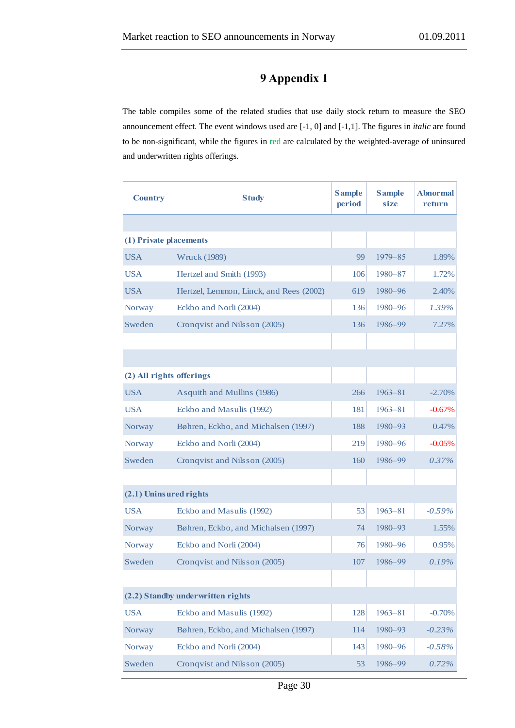# **9 Appendix 1**

<span id="page-30-0"></span>The table compiles some of the related studies that use daily stock return to measure the SEO announcement effect. The event windows used are [-1, 0] and [-1,1]. The figures in *italic* are found to be non-significant, while the figures in red are calculated by the weighted-average of uninsured and underwritten rights offerings.

| <b>Country</b>           | <b>Study</b>                            | <b>Sample</b><br>period | <b>Sample</b><br>size | <b>Abnormal</b><br>return |
|--------------------------|-----------------------------------------|-------------------------|-----------------------|---------------------------|
|                          |                                         |                         |                       |                           |
| (1) Private placements   |                                         |                         |                       |                           |
| <b>USA</b>               | <b>Wruck (1989)</b>                     | 99                      | $1979 - 85$           | 1.89%                     |
| <b>USA</b>               | Hertzel and Smith (1993)                | 106                     | 1980-87               | 1.72%                     |
| <b>USA</b>               | Hertzel, Lemmon, Linck, and Rees (2002) | 619                     | 1980-96               | 2.40%                     |
| Norway                   | Eckbo and Norli (2004)                  | 136                     | 1980-96               | 1.39%                     |
| Sweden                   | Cronqvist and Nilsson (2005)            | 136                     | 1986-99               | 7.27%                     |
|                          |                                         |                         |                       |                           |
|                          |                                         |                         |                       |                           |
| (2) All rights offerings |                                         |                         |                       |                           |
| <b>USA</b>               | Asquith and Mullins (1986)              | 266                     | $1963 - 81$           | $-2.70%$                  |
| <b>USA</b>               | Eckbo and Masulis (1992)                | 181                     | $1963 - 81$           | $-0.67%$                  |
| Norway                   | Bøhren, Eckbo, and Michalsen (1997)     | 188                     | 1980-93               | 0.47%                     |
| Norway                   | Eckbo and Norli (2004)                  | 219                     | 1980-96               | $-0.05%$                  |
| Sweden                   | Cronqvist and Nilsson (2005)            | 160                     | 1986–99               | 0.37%                     |
|                          |                                         |                         |                       |                           |
| (2.1) Uninsured rights   |                                         |                         |                       |                           |
| <b>USA</b>               | Eckbo and Masulis (1992)                | 53                      | $1963 - 81$           | $-0.59%$                  |
| Norway                   | Bøhren, Eckbo, and Michalsen (1997)     | 74                      | 1980-93               | 1.55%                     |
| <b>Norway</b>            | Eckbo and Norli (2004)                  | 76                      | 1980-96               | 0.95%                     |
| Sweden                   | Cronqvist and Nilsson (2005)            | 107                     | 1986-99               | 0.19%                     |
|                          |                                         |                         |                       |                           |
|                          | (2.2) Standby underwritten rights       |                         |                       |                           |
| <b>USA</b>               | Eckbo and Masulis (1992)                | 128                     | $1963 - 81$           | $-0.70%$                  |
| Norway                   | Bøhren, Eckbo, and Michalsen (1997)     | 114                     | 1980-93               | $-0.23%$                  |
| <b>Norway</b>            | Eckbo and Norli (2004)                  | 143                     | 1980-96               | $-0.58%$                  |
| Sweden                   | Cronqvist and Nilsson (2005)            | 53                      | 1986-99               | 0.72%                     |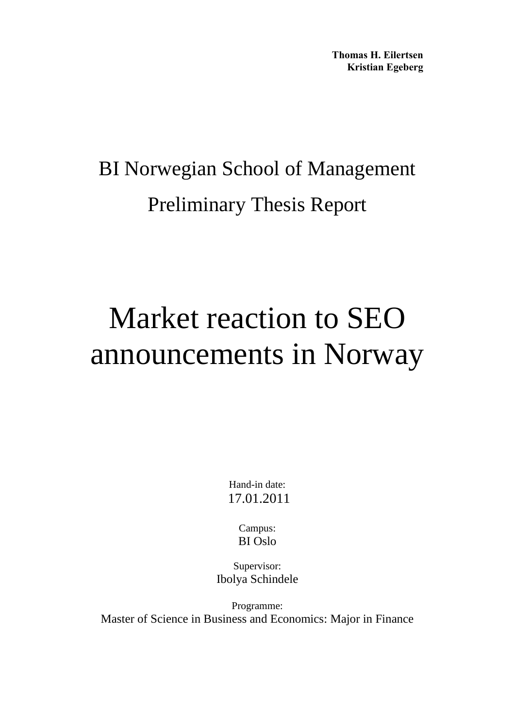**Thomas H. Eilertsen Kristian Egeberg** 

# BI Norwegian School of Management Preliminary Thesis Report

# Market reaction to SEO announcements in Norway

Hand-in date: 17.01.2011

> Campus: BI Oslo

Supervisor: Ibolya Schindele

Programme: Master of Science in Business and Economics: Major in Finance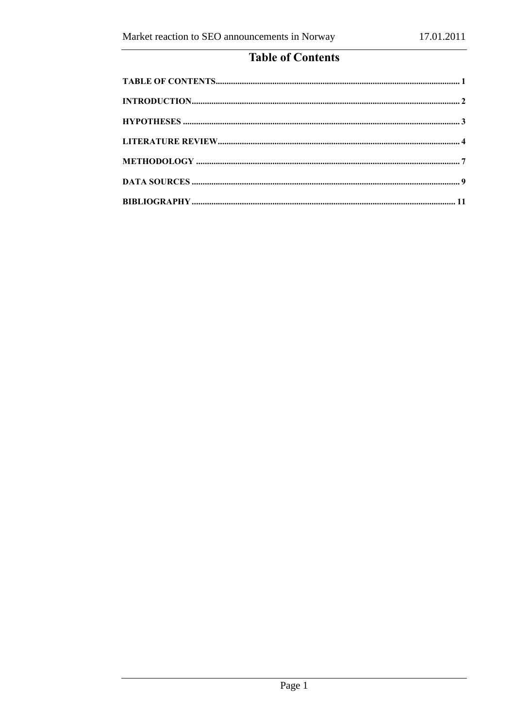# **Table of Contents**

<span id="page-32-0"></span>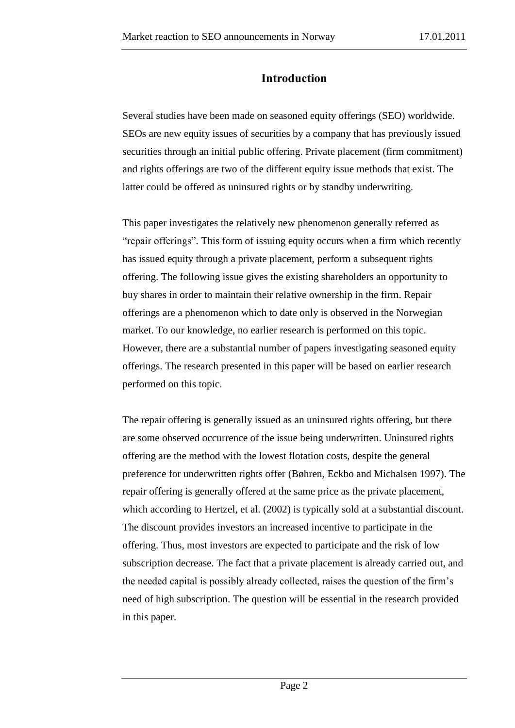## **Introduction**

<span id="page-33-0"></span>Several studies have been made on seasoned equity offerings (SEO) worldwide. SEOs are new equity issues of securities by a company that has previously issued securities through an initial public offering. Private placement (firm commitment) and rights offerings are two of the different equity issue methods that exist. The latter could be offered as uninsured rights or by standby underwriting.

This paper investigates the relatively new phenomenon generally referred as "repair offerings". This form of issuing equity occurs when a firm which recently has issued equity through a private placement, perform a subsequent rights offering. The following issue gives the existing shareholders an opportunity to buy shares in order to maintain their relative ownership in the firm. Repair offerings are a phenomenon which to date only is observed in the Norwegian market. To our knowledge, no earlier research is performed on this topic. However, there are a substantial number of papers investigating seasoned equity offerings. The research presented in this paper will be based on earlier research performed on this topic.

The repair offering is generally issued as an uninsured rights offering, but there are some observed occurrence of the issue being underwritten. Uninsured rights offering are the method with the lowest flotation costs, despite the general preference for underwritten rights offer (Bøhren, Eckbo and Michalsen 1997). The repair offering is generally offered at the same price as the private placement, which according to Hertzel, et al. (2002) is typically sold at a substantial discount. The discount provides investors an increased incentive to participate in the offering. Thus, most investors are expected to participate and the risk of low subscription decrease. The fact that a private placement is already carried out, and the needed capital is possibly already collected, raises the question of the firm's need of high subscription. The question will be essential in the research provided in this paper.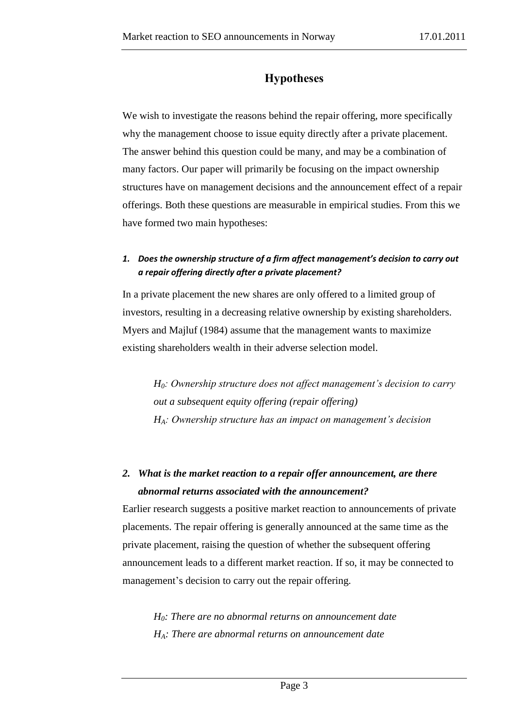# **Hypotheses**

<span id="page-34-0"></span>We wish to investigate the reasons behind the repair offering, more specifically why the management choose to issue equity directly after a private placement. The answer behind this question could be many, and may be a combination of many factors. Our paper will primarily be focusing on the impact ownership structures have on management decisions and the announcement effect of a repair offerings. Both these questions are measurable in empirical studies. From this we have formed two main hypotheses:

### *1. Does the ownership structure of a firm affect management's decision to carry out a repair offering directly after a private placement?*

In a private placement the new shares are only offered to a limited group of investors, resulting in a decreasing relative ownership by existing shareholders. Myers and Majluf (1984) assume that the management wants to maximize existing shareholders wealth in their adverse selection model.

*H0: Ownership structure does not affect management's decision to carry out a subsequent equity offering (repair offering) HA: Ownership structure has an impact on management's decision*

# *2. What is the market reaction to a repair offer announcement, are there abnormal returns associated with the announcement?*

Earlier research suggests a positive market reaction to announcements of private placements. The repair offering is generally announced at the same time as the private placement, raising the question of whether the subsequent offering announcement leads to a different market reaction. If so, it may be connected to management's decision to carry out the repair offering.

*H0: There are no abnormal returns on announcement date HA: There are abnormal returns on announcement date*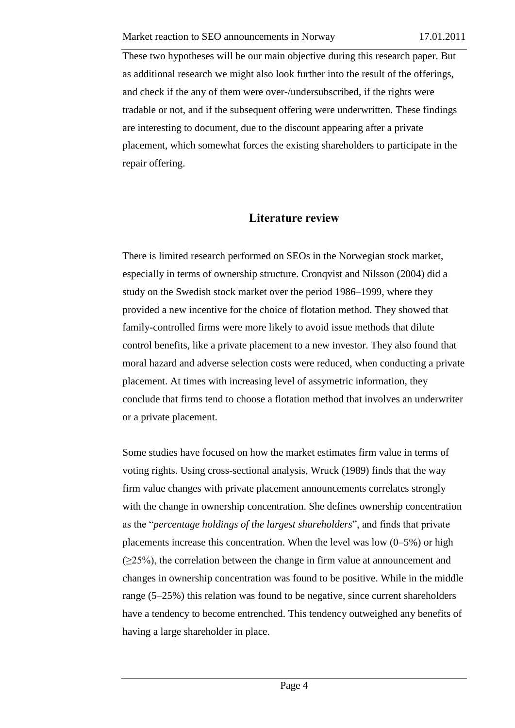These two hypotheses will be our main objective during this research paper. But as additional research we might also look further into the result of the offerings, and check if the any of them were over-/undersubscribed, if the rights were tradable or not, and if the subsequent offering were underwritten. These findings are interesting to document, due to the discount appearing after a private placement, which somewhat forces the existing shareholders to participate in the repair offering.

### **Literature review**

<span id="page-35-0"></span>There is limited research performed on SEOs in the Norwegian stock market, especially in terms of ownership structure. Cronqvist and Nilsson (2004) did a study on the Swedish stock market over the period 1986–1999, where they provided a new incentive for the choice of flotation method. They showed that family-controlled firms were more likely to avoid issue methods that dilute control benefits, like a private placement to a new investor. They also found that moral hazard and adverse selection costs were reduced, when conducting a private placement. At times with increasing level of assymetric information, they conclude that firms tend to choose a flotation method that involves an underwriter or a private placement.

Some studies have focused on how the market estimates firm value in terms of voting rights. Using cross-sectional analysis, Wruck (1989) finds that the way firm value changes with private placement announcements correlates strongly with the change in ownership concentration. She defines ownership concentration as the "*percentage holdings of the largest shareholders*", and finds that private placements increase this concentration. When the level was low (0–5%) or high  $(\geq 25\%)$ , the correlation between the change in firm value at announcement and changes in ownership concentration was found to be positive. While in the middle range (5–25%) this relation was found to be negative, since current shareholders have a tendency to become entrenched. This tendency outweighed any benefits of having a large shareholder in place.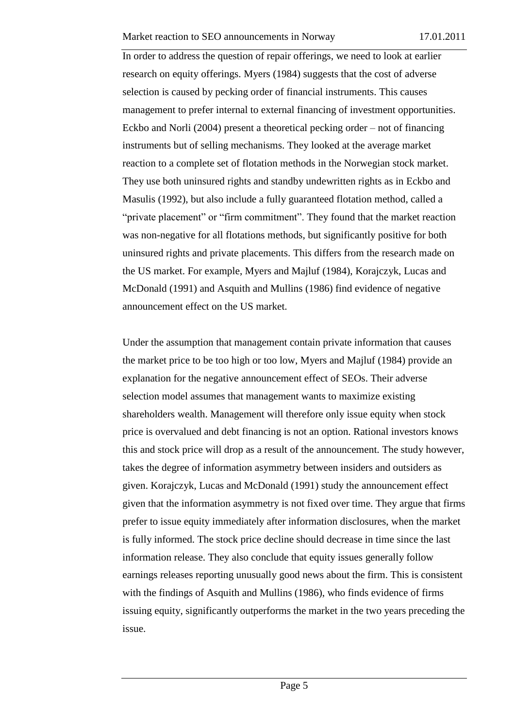In order to address the question of repair offerings, we need to look at earlier research on equity offerings. Myers (1984) suggests that the cost of adverse selection is caused by pecking order of financial instruments. This causes management to prefer internal to external financing of investment opportunities. Eckbo and Norli (2004) present a theoretical pecking order – not of financing instruments but of selling mechanisms. They looked at the average market reaction to a complete set of flotation methods in the Norwegian stock market. They use both uninsured rights and standby undewritten rights as in Eckbo and Masulis (1992), but also include a fully guaranteed flotation method, called a "private placement" or "firm commitment". They found that the market reaction was non-negative for all flotations methods, but significantly positive for both uninsured rights and private placements. This differs from the research made on the US market. For example, Myers and Majluf (1984), Korajczyk, Lucas and McDonald (1991) and Asquith and Mullins (1986) find evidence of negative announcement effect on the US market.

Under the assumption that management contain private information that causes the market price to be too high or too low, Myers and Majluf (1984) provide an explanation for the negative announcement effect of SEOs. Their adverse selection model assumes that management wants to maximize existing shareholders wealth. Management will therefore only issue equity when stock price is overvalued and debt financing is not an option. Rational investors knows this and stock price will drop as a result of the announcement. The study however, takes the degree of information asymmetry between insiders and outsiders as given. Korajczyk, Lucas and McDonald (1991) study the announcement effect given that the information asymmetry is not fixed over time. They argue that firms prefer to issue equity immediately after information disclosures, when the market is fully informed. The stock price decline should decrease in time since the last information release. They also conclude that equity issues generally follow earnings releases reporting unusually good news about the firm. This is consistent with the findings of Asquith and Mullins (1986), who finds evidence of firms issuing equity, significantly outperforms the market in the two years preceding the issue.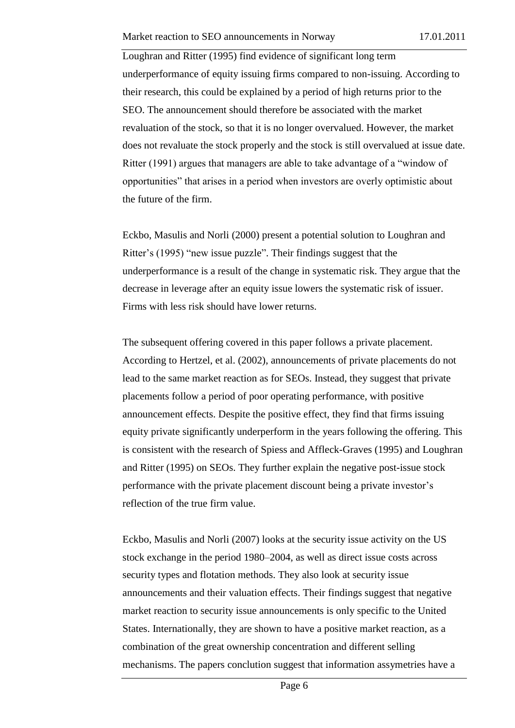Loughran and Ritter (1995) find evidence of significant long term underperformance of equity issuing firms compared to non-issuing. According to their research, this could be explained by a period of high returns prior to the SEO. The announcement should therefore be associated with the market revaluation of the stock, so that it is no longer overvalued. However, the market does not revaluate the stock properly and the stock is still overvalued at issue date. Ritter (1991) argues that managers are able to take advantage of a "window of opportunities" that arises in a period when investors are overly optimistic about the future of the firm.

Eckbo, Masulis and Norli (2000) present a potential solution to Loughran and Ritter's (1995) "new issue puzzle". Their findings suggest that the underperformance is a result of the change in systematic risk. They argue that the decrease in leverage after an equity issue lowers the systematic risk of issuer. Firms with less risk should have lower returns.

The subsequent offering covered in this paper follows a private placement. According to Hertzel, et al. (2002), announcements of private placements do not lead to the same market reaction as for SEOs. Instead, they suggest that private placements follow a period of poor operating performance, with positive announcement effects. Despite the positive effect, they find that firms issuing equity private significantly underperform in the years following the offering. This is consistent with the research of Spiess and Affleck-Graves (1995) and Loughran and Ritter (1995) on SEOs. They further explain the negative post-issue stock performance with the private placement discount being a private investor's reflection of the true firm value.

Eckbo, Masulis and Norli (2007) looks at the security issue activity on the US stock exchange in the period 1980–2004, as well as direct issue costs across security types and flotation methods. They also look at security issue announcements and their valuation effects. Their findings suggest that negative market reaction to security issue announcements is only specific to the United States. Internationally, they are shown to have a positive market reaction, as a combination of the great ownership concentration and different selling mechanisms. The papers conclution suggest that information assymetries have a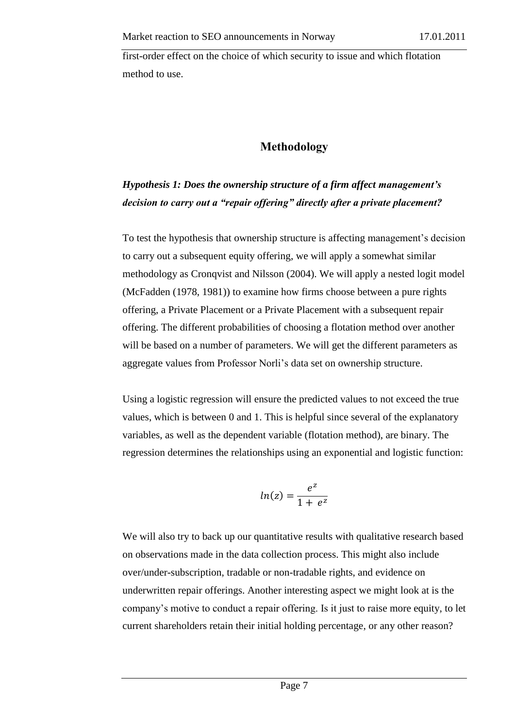first-order effect on the choice of which security to issue and which flotation method to use.

## **Methodology**

# <span id="page-38-0"></span>*Hypothesis 1: Does the ownership structure of a firm affect management's decision to carry out a "repair offering" directly after a private placement?*

To test the hypothesis that ownership structure is affecting management's decision to carry out a subsequent equity offering, we will apply a somewhat similar methodology as Cronqvist and Nilsson (2004). We will apply a nested logit model (McFadden (1978, 1981)) to examine how firms choose between a pure rights offering, a Private Placement or a Private Placement with a subsequent repair offering. The different probabilities of choosing a flotation method over another will be based on a number of parameters. We will get the different parameters as aggregate values from Professor Norli's data set on ownership structure.

Using a logistic regression will ensure the predicted values to not exceed the true values, which is between 0 and 1. This is helpful since several of the explanatory variables, as well as the dependent variable (flotation method), are binary. The regression determines the relationships using an exponential and logistic function:

$$
ln(z) = \frac{e^z}{1 + e^z}
$$

We will also try to back up our quantitative results with qualitative research based on observations made in the data collection process. This might also include over/under-subscription, tradable or non-tradable rights, and evidence on underwritten repair offerings. Another interesting aspect we might look at is the company's motive to conduct a repair offering. Is it just to raise more equity, to let current shareholders retain their initial holding percentage, or any other reason?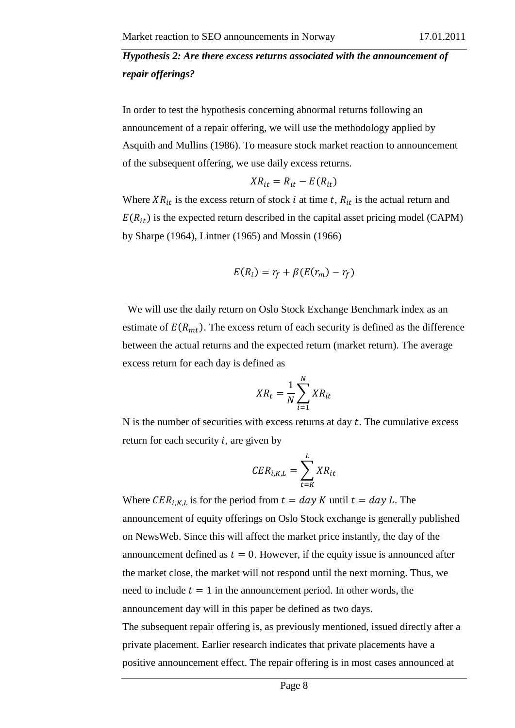# *Hypothesis 2: Are there excess returns associated with the announcement of repair offerings?*

In order to test the hypothesis concerning abnormal returns following an announcement of a repair offering, we will use the methodology applied by Asquith and Mullins (1986). To measure stock market reaction to announcement of the subsequent offering, we use daily excess returns.

$$
XR_{it} = R_{it} - E(R_{it})
$$

Where  $XR_{it}$  is the excess return of stock i at time t,  $R_{it}$  is the actual return and  $E(R_{it})$  is the expected return described in the capital asset pricing model (CAPM) by Sharpe (1964), Lintner (1965) and Mossin (1966)

$$
E(R_i) = r_f + \beta (E(r_m) - r_f)
$$

We will use the daily return on Oslo Stock Exchange Benchmark index as an estimate of  $E(R_{mt})$ . The excess return of each security is defined as the difference between the actual returns and the expected return (market return). The average excess return for each day is defined as

$$
XR_t = \frac{1}{N} \sum_{i=1}^{N} XR_{it}
$$

N is the number of securities with excess returns at day  $t$ . The cumulative excess return for each security  $i$ , are given by

$$
CER_{i,K,L} = \sum_{t=K}^{L} XR_{it}
$$

Where  $CER_{i,K,L}$  is for the period from  $t = day K$  until  $t = day L$ . The announcement of equity offerings on Oslo Stock exchange is generally published on NewsWeb. Since this will affect the market price instantly, the day of the announcement defined as  $t = 0$ . However, if the equity issue is announced after the market close, the market will not respond until the next morning. Thus, we need to include  $t = 1$  in the announcement period. In other words, the announcement day will in this paper be defined as two days.

The subsequent repair offering is, as previously mentioned, issued directly after a private placement. Earlier research indicates that private placements have a positive announcement effect. The repair offering is in most cases announced at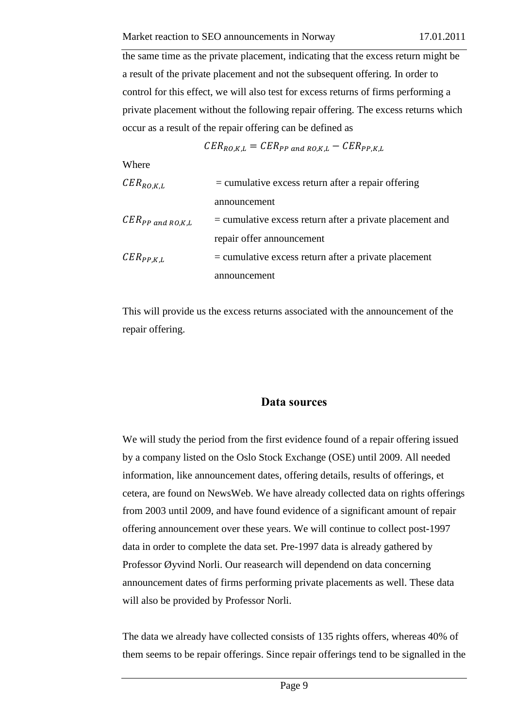the same time as the private placement, indicating that the excess return might be a result of the private placement and not the subsequent offering. In order to control for this effect, we will also test for excess returns of firms performing a private placement without the following repair offering. The excess returns which occur as a result of the repair offering can be defined as

$$
CER_{RO,K,L} = CER_{PP \ and \ RO,K,L} - CER_{PP,K,L}
$$

Where

| $CER_{RO,K,L}$        | $=$ cumulative excess return after a repair offering       |
|-----------------------|------------------------------------------------------------|
|                       | announcement                                               |
| $CER_{PP}$ and RO,K,L | $=$ cumulative excess return after a private placement and |
|                       | repair offer announcement                                  |
| $CER_{PP,K,L}$        | $=$ cumulative excess return after a private placement     |
|                       | announcement                                               |

This will provide us the excess returns associated with the announcement of the repair offering.

#### **Data sources**

<span id="page-40-0"></span>We will study the period from the first evidence found of a repair offering issued by a company listed on the Oslo Stock Exchange (OSE) until 2009. All needed information, like announcement dates, offering details, results of offerings, et cetera, are found on NewsWeb. We have already collected data on rights offerings from 2003 until 2009, and have found evidence of a significant amount of repair offering announcement over these years. We will continue to collect post-1997 data in order to complete the data set. Pre-1997 data is already gathered by Professor Øyvind Norli. Our reasearch will dependend on data concerning announcement dates of firms performing private placements as well. These data will also be provided by Professor Norli.

The data we already have collected consists of 135 rights offers, whereas 40% of them seems to be repair offerings. Since repair offerings tend to be signalled in the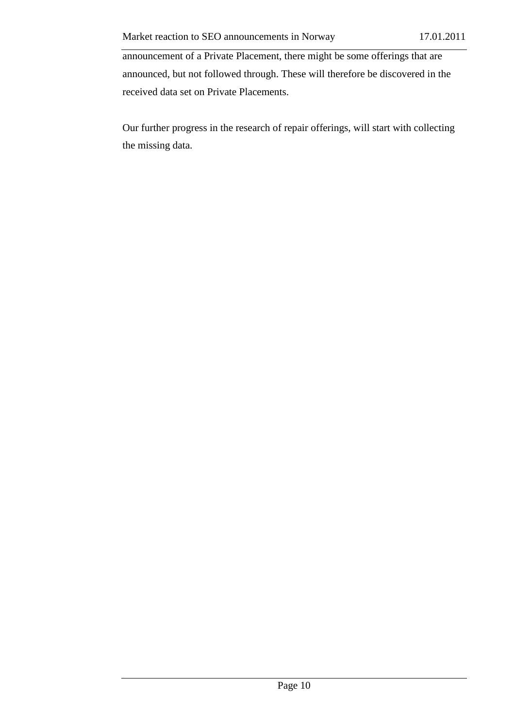announcement of a Private Placement, there might be some offerings that are announced, but not followed through. These will therefore be discovered in the received data set on Private Placements.

Our further progress in the research of repair offerings, will start with collecting the missing data.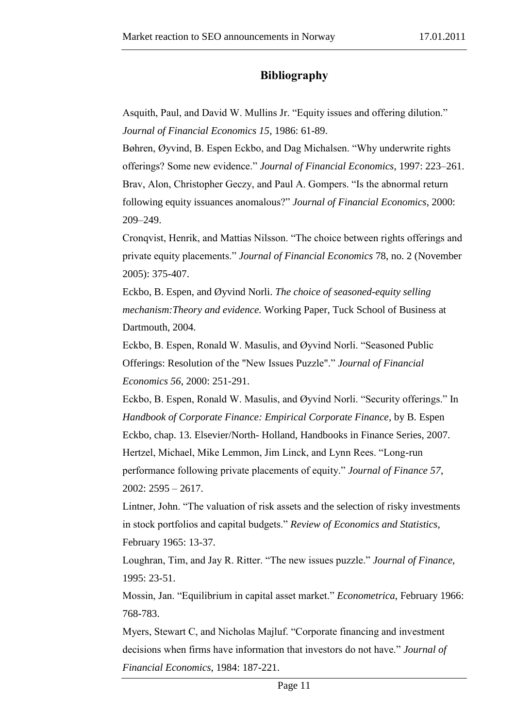## **Bibliography**

<span id="page-42-0"></span>Asquith, Paul, and David W. Mullins Jr. "Equity issues and offering dilution." *Journal of Financial Economics 15*, 1986: 61-89.

Bøhren, Øyvind, B. Espen Eckbo, and Dag Michalsen. "Why underwrite rights offerings? Some new evidence." *Journal of Financial Economics*, 1997: 223–261. Brav, Alon, Christopher Geczy, and Paul A. Gompers. "Is the abnormal return following equity issuances anomalous?" *Journal of Financial Economics*, 2000: 209–249.

Cronqvist, Henrik, and Mattias Nilsson. "The choice between rights offerings and private equity placements." *Journal of Financial Economics* 78, no. 2 (November 2005): 375-407.

Eckbo, B. Espen, and Øyvind Norli. *The choice of seasoned-equity selling mechanism:Theory and evidence.* Working Paper, Tuck School of Business at Dartmouth, 2004.

Eckbo, B. Espen, Ronald W. Masulis, and Øyvind Norli. "Seasoned Public Offerings: Resolution of the "New Issues Puzzle"." *Journal of Financial Economics 56*, 2000: 251-291.

Eckbo, B. Espen, Ronald W. Masulis, and Øyvind Norli. "Security offerings." In *Handbook of Corporate Finance: Empirical Corporate Finance*, by B. Espen Eckbo, chap. 13. Elsevier/North- Holland, Handbooks in Finance Series, 2007. Hertzel, Michael, Mike Lemmon, Jim Linck, and Lynn Rees. "Long-run performance following private placements of equity." *Journal of Finance 57*, 2002: 2595 – 2617.

Lintner, John. "The valuation of risk assets and the selection of risky investments in stock portfolios and capital budgets." *Review of Economics and Statistics*, February 1965: 13-37.

Loughran, Tim, and Jay R. Ritter. "The new issues puzzle." *Journal of Finance*, 1995: 23-51.

Mossin, Jan. "Equilibrium in capital asset market." *Econometrica*, February 1966: 768-783.

Myers, Stewart C, and Nicholas Majluf. "Corporate financing and investment decisions when firms have information that investors do not have." *Journal of Financial Economics*, 1984: 187-221.